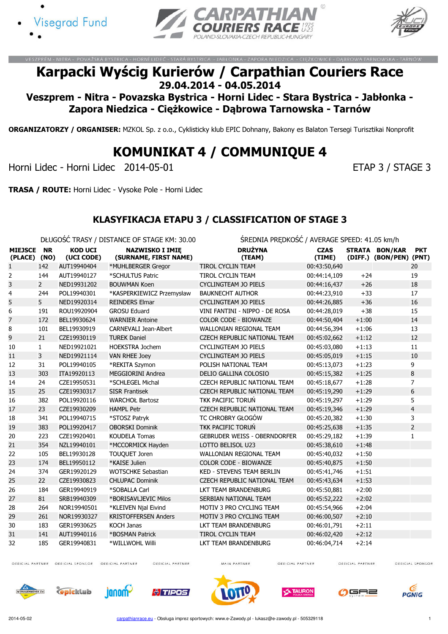





HORNÍ LIDEC - STARÁ BYSTRICA - JABŁONKA - ZAPORA NIEDZICA - CIEŻKOWICE - DABR

# Karpacki Wyścig Kurierów / Carpathian Couriers Race 29.04.2014 - 04.05.2014

Veszprem - Nitra - Povazska Bystrica - Horni Lidec - Stara Bystrica - Jabłonka - Zapora Niedzica - Ciężkowice - Dąbrowa Tarnowska - Tarnów

ORGANIZATORZY / ORGANISER: MZKOL Sp. z o.o., Cyklisticky klub EPIC Dohnany, Bakony es Balaton Tersegi Turisztikai Nonprofit

# KOMUNIKAT 4 / COMMUNIQUE 4

Horni Lidec - Horni Lidec 2014-05-01 extending the state of the ETAP 3 / STAGE 3

TRASA / ROUTE: Horni Lidec - Vysoke Pole - Horni Lidec

#### KLASYFIKACJA ETAPU 3 / CLASSIFICATION OF STAGE 3

DŁUGOŚĆ TRASY / DISTANCE OF STAGE KM: 30.00 ŚREDNIA PRĘDKOŚĆ / AVERAGE SPEED: 41.05 km/h

|                           |                   |                              | DEUGOSC TRAST / DISTANCE OF STAGE NYI. 30.00    | SKEDINIA PREDROSU / AVERAGE SPEED. 41.00 KIII/II |                       |         |                                           |                |
|---------------------------|-------------------|------------------------------|-------------------------------------------------|--------------------------------------------------|-----------------------|---------|-------------------------------------------|----------------|
| <b>MIEJSCE</b><br>(PLACE) | <b>NR</b><br>(NO) | <b>KOD UCI</b><br>(UCI CODE) | <b>NAZWISKO I IMIE</b><br>(SURNAME, FIRST NAME) | <b>DRUŻYNA</b><br>(TEAM)                         | <b>CZAS</b><br>(TIME) |         | STRATA BON/KAR<br>(DIFF.) (BON/PEN) (PNT) | <b>PKT</b>     |
| 1                         | 142               | AUT19940404                  | *MUHLBERGER Gregor                              | <b>TIROL CYCLIN TEAM</b>                         | 00:43:50,640          |         |                                           | 20             |
| 2                         | 144               | AUT19940127                  | *SCHULTUS Patric                                | <b>TIROL CYCLIN TEAM</b>                         | 00:44:14,109          | $+24$   |                                           | 19             |
| 3                         | $\overline{2}$    | NED19931202                  | <b>BOUWMAN Koen</b>                             | <b>CYCLINGTEAM JO PIELS</b>                      | 00:44:16,437          | $+26$   |                                           | 18             |
| 4                         | 244               | POL19940301                  | *KASPERKIEWICZ Przemysław                       | <b>BAUKNECHT AUTHOR</b>                          | 00:44:23,910          | $+33$   |                                           | 17             |
| 5                         | 5                 | NED19920314                  | <b>REINDERS Elmar</b>                           | <b>CYCLINGTEAM JO PIELS</b>                      | 00:44:26,885          | $+36$   |                                           | 16             |
| 6                         | 191               | ROU19920904                  | <b>GROSU Eduard</b>                             | VINI FANTINI - NIPPO - DE ROSA                   | 00:44:28,019          | $+38$   |                                           | 15             |
| 7                         | 172               | BEL19930624                  | <b>WARNIER Antoine</b>                          | COLOR CODE - BIOWANZE                            | 00:44:50,404          | $+1:00$ |                                           | 14             |
| 8                         | 101               | BEL19930919                  | CARNEVALI Jean-Albert                           | WALLONIAN REGIONAL TEAM                          | 00:44:56,394          | $+1:06$ |                                           | 13             |
| 9                         | 21                | CZE19930119                  | <b>TUREK Daniel</b>                             | CZECH REPUBLIC NATIONAL TEAM                     | 00:45:02,662          | $+1:12$ |                                           | 12             |
| 10                        | $\mathbf{1}$      | NED19921021                  | <b>HOEKSTRA Jochem</b>                          | <b>CYCLINGTEAM JO PIELS</b>                      | 00:45:03,080          | $+1:13$ |                                           | 11             |
| 11                        | 3                 | NED19921114                  | <b>VAN RHEE Joey</b>                            | <b>CYCLINGTEAM JO PIELS</b>                      | 00:45:05,019          | $+1:15$ |                                           | 10             |
| 12                        | 31                | POL19940105                  | *REKITA Szymon                                  | POLISH NATIONAL TEAM                             | 00:45:13,073          | $+1:23$ |                                           | 9              |
| 13                        | 303               | ITA19920113                  | MEGGIORINI Andrea                               | DELIO GALLINA COLOSIO                            | 00:45:15,382          | $+1:25$ |                                           | 8              |
| 14                        | 24                | CZE19950531                  | *SCHLEGEL Michal                                | CZECH REPUBLIC NATIONAL TEAM                     | 00:45:18,677          | $+1:28$ |                                           | $\overline{7}$ |
| 15                        | 25                | CZE19930317                  | <b>SISR Frantisek</b>                           | CZECH REPUBLIC NATIONAL TEAM                     | 00:45:19,290          | $+1:29$ |                                           | 6              |
| 16                        | 382               | POL19920116                  | <b>WARCHOŁ Bartosz</b>                          | <b>TKK PACIFIC TORUŃ</b>                         | 00:45:19,297          | $+1:29$ |                                           | 5              |
| 17                        | 23                | CZE19930209                  | <b>HAMPL Petr</b>                               | <b>CZECH REPUBLIC NATIONAL TEAM</b>              | 00:45:19,346          | $+1:29$ |                                           | $\overline{4}$ |
| 18                        | 341               | POL19940715                  | *STOSZ Patryk                                   | TC CHROBRY GŁOGÓW                                | 00:45:20,382          | $+1:30$ |                                           | 3              |
| 19                        | 383               | POL19920417                  | <b>OBORSKI Dominik</b>                          | TKK PACIFIC TORUŃ                                | 00:45:25,638          | $+1:35$ |                                           | $\overline{2}$ |
| 20                        | 223               | CZE19920401                  | <b>KOUDELA Tomas</b>                            | <b>GEBRUDER WEISS - OBERNDORFER</b>              | 00:45:29,182          | $+1:39$ |                                           | $\mathbf{1}$   |
| 21                        | 354               | NZL19940101                  | *MCCORMICK Hayden                               | LOTTO BELISOL U23                                | 00:45:38,610          | $+1:48$ |                                           |                |
| 22                        | 105               | BEL19930128                  | <b>TOUQUET Joren</b>                            | WALLONIAN REGIONAL TEAM                          | 00:45:40,032          | $+1:50$ |                                           |                |
| 23                        | 174               | BEL19950112                  | *KAISE Julien                                   | COLOR CODE - BIOWANZE                            | 00:45:40,875          | $+1:50$ |                                           |                |
| 24                        | 374               | GER19920129                  | <b>WOTSCHKE Sebastian</b>                       | <b>KED - STEVENS TEAM BERLIN</b>                 | 00:45:41,746          | $+1:51$ |                                           |                |
| 25                        | 22                | CZE19930823                  | <b>CHLUPAC Dominik</b>                          | CZECH REPUBLIC NATIONAL TEAM                     | 00:45:43,634          | $+1:53$ |                                           |                |
| 26                        | 184               | GER19940919                  | *SOBALLA Carl                                   | LKT TEAM BRANDENBURG                             | 00:45:50,881          | $+2:00$ |                                           |                |
| 27                        | 81                | SRB19940309                  | *BORISAVLJEVIC Milos                            | SERBIAN NATIONAL TEAM                            | 00:45:52,222          | $+2:02$ |                                           |                |
| 28                        | 264               | NOR19940501                  | *KLEIVEN Njal Eivind                            | MOTIV 3 PRO CYCLING TEAM                         | 00:45:54,966          | $+2:04$ |                                           |                |
| 29                        | 261               | NOR19930327                  | <b>KRISTOFFERSEN Anders</b>                     | MOTIV 3 PRO CYCLING TEAM                         | 00:46:00,507          | $+2:10$ |                                           |                |
| 30                        | 183               | GER19930625                  | <b>KOCH Janas</b>                               | LKT TEAM BRANDENBURG                             | 00:46:01,791          | $+2:11$ |                                           |                |
| 31                        | 141               | AUT19940116                  | *BOSMAN Patrick                                 | <b>TIROL CYCLIN TEAM</b>                         | 00:46:02,420          | $+2:12$ |                                           |                |
| 32                        | 185               | GER19940831                  | *WILLWOHL Willi                                 | <b>LKT TEAM BRANDENBURG</b>                      | 00:46:04,714          | $+2:14$ |                                           |                |

OFFICIAL PARTNER OFFICIAL SPONSOR OFFICIAL PARTNER

OFFICIAL PARTNER

MAIN PARTNER

OFFICIAL PARTNER

OFFICIAL PARTNER















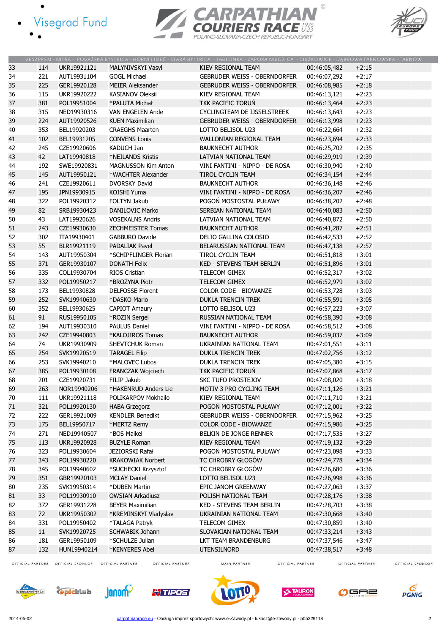- · Visegrad Fund
	-





|    |     |             |                            | VESZPRÉM - NITRA - POVAŻSKÁ BYSTRICA - HORNÍ LIDEĆ - STARÁ BYSTRICA - JABŁONKA - ZAPORA NIEDZICA - CIĘŻKOWICE - DĄBROWA TARNOWSKA - TARNÓW |              |         |
|----|-----|-------------|----------------------------|--------------------------------------------------------------------------------------------------------------------------------------------|--------------|---------|
| 33 | 114 | UKR19921121 | MALYNIVSKYI Vasyl          | KIEV REGIONAL TEAM                                                                                                                         | 00:46:05,482 | $+2:15$ |
| 34 | 221 | AUT19931104 | <b>GOGL Michael</b>        | <b>GEBRUDER WEISS - OBERNDORFER</b>                                                                                                        | 00:46:07,292 | $+2:17$ |
| 35 | 225 | GER19920128 | <b>MEIER Aleksander</b>    | <b>GEBRUDER WEISS - OBERNDORFER</b>                                                                                                        | 00:46:08,985 | $+2:18$ |
| 36 | 115 | UKR19920222 | <b>KASIANOV Oleksii</b>    | <b>KIEV REGIONAL TEAM</b>                                                                                                                  | 00:46:13,121 | $+2:23$ |
| 37 | 381 | POL19951004 | *PALUTA Michał             | <b>TKK PACIFIC TORUN</b>                                                                                                                   | 00:46:13,464 | $+2:23$ |
| 38 | 315 | NED19930316 | VAN ENGELEN Ande           | CYCLINGTEAM DE IJSSELSTREEK                                                                                                                | 00:46:13,643 | $+2:23$ |
| 39 | 224 | AUT19920526 | <b>KUEN Maximilian</b>     | <b>GEBRUDER WEISS - OBERNDORFER</b>                                                                                                        | 00:46:13,998 | $+2:23$ |
| 40 | 353 | BEL19920203 | <b>CRAEGHS Maarten</b>     | LOTTO BELISOL U23                                                                                                                          | 00:46:22,664 | $+2:32$ |
| 41 | 102 | BEL19931205 | <b>CONVENS Louis</b>       | WALLONIAN REGIONAL TEAM                                                                                                                    | 00:46:23,694 | $+2:33$ |
| 42 | 245 | CZE19920606 | <b>KADUCH Jan</b>          | <b>BAUKNECHT AUTHOR</b>                                                                                                                    | 00:46:25,702 | $+2:35$ |
| 43 | 42  | LAT19940818 | *NEILANDS Kristis          | LATVIAN NATIONAL TEAM                                                                                                                      | 00:46:29,919 | $+2:39$ |
| 44 | 192 | SWE19920831 | <b>MAGNUSSON Kim Anton</b> | VINI FANTINI - NIPPO - DE ROSA                                                                                                             | 00:46:30,940 | $+2:40$ |
| 45 | 145 | AUT19950121 | *WACHTER Alexander         | <b>TIROL CYCLIN TEAM</b>                                                                                                                   | 00:46:34,154 | $+2:44$ |
| 46 | 241 | CZE19920611 | <b>DVORSKY David</b>       | <b>BAUKNECHT AUTHOR</b>                                                                                                                    | 00:46:36,148 | $+2:46$ |
| 47 | 195 | JPN19930915 | KOISHI Yuma                | VINI FANTINI - NIPPO - DE ROSA                                                                                                             | 00:46:36,207 | $+2:46$ |
| 48 | 322 | POL19920312 | FOLTYN Jakub               | POGOŃ MOSTOSTAL PUŁAWY                                                                                                                     | 00:46:38,202 | $+2:48$ |
| 49 | 82  | SRB19930423 | <b>DANILOVIC Marko</b>     | SERBIAN NATIONAL TEAM                                                                                                                      | 00:46:40,083 | $+2:50$ |
| 50 | 43  | LAT19920626 | <b>VOSEKALNS Andris</b>    | LATVIAN NATIONAL TEAM                                                                                                                      | 00:46:40,872 | $+2:50$ |
| 51 | 243 | CZE19930630 | <b>ZECHMEISTER Tomas</b>   | <b>BAUKNECHT AUTHOR</b>                                                                                                                    | 00:46:41,287 | $+2:51$ |
| 52 | 302 | ITA19930401 | <b>GABBURO Davide</b>      | DELIO GALLINA COLOSIO                                                                                                                      | 00:46:42,533 | $+2:52$ |
| 53 | 55  | BLR19921119 | <b>PADALIAK Pavel</b>      | <b>BELARUSSIAN NATIONAL TEAM</b>                                                                                                           | 00:46:47,138 | $+2:57$ |
| 54 | 143 | AUT19950304 | *SCHIPFLINGER Florian      | TIROL CYCLIN TEAM                                                                                                                          | 00:46:51,818 | $+3:01$ |
| 55 | 371 | GER19930107 | <b>DONATH Felix</b>        | KED - STEVENS TEAM BERLIN                                                                                                                  | 00:46:51,896 | $+3:01$ |
| 56 | 335 | COL19930704 | RIOS Cristian              | TELECOM GIMEX                                                                                                                              | 00:46:52,317 | $+3:02$ |
| 57 | 332 | POL19950217 | *BROŻYNA Piotr             | <b>TELECOM GIMEX</b>                                                                                                                       | 00:46:52,979 | $+3:02$ |
| 58 | 173 | BEL19930828 | <b>DELFOSSE Florent</b>    | COLOR CODE - BIOWANZE                                                                                                                      | 00:46:53,728 | $+3:03$ |
| 59 | 252 | SVK19940630 | *DASKO Mario               | DUKLA TRENCIN TREK                                                                                                                         | 00:46:55,591 | $+3:05$ |
| 60 | 352 | BEL19930625 | <b>CAPIOT Amaury</b>       | LOTTO BELISOL U23                                                                                                                          | 00:46:57,223 | $+3:07$ |
| 61 | 91  | RUS19950105 | *ROZIN Sergei              | RUSSIAN NATIONAL TEAM                                                                                                                      | 00:46:58,390 | $+3:08$ |
| 62 | 194 | AUT19930310 | PAULUS Daniel              | VINI FANTINI - NIPPO - DE ROSA                                                                                                             | 00:46:58,512 | $+3:08$ |
| 63 | 242 | CZE19940803 | *KALOJIROS Tomas           | <b>BAUKNECHT AUTHOR</b>                                                                                                                    | 00:46:59,037 | $+3:09$ |
| 64 | 74  | UKR19930909 | SHEVTCHUK Roman            | UKRAINIAN NATIONAL TEAM                                                                                                                    | 00:47:01,551 | $+3:11$ |
| 65 | 254 | SVK19920519 | <b>TARAGEL Filip</b>       | <b>DUKLA TRENCIN TREK</b>                                                                                                                  | 00:47:02,756 | $+3:12$ |
| 66 | 253 | SVK19940210 | *MALOVEC Lubos             | DUKLA TRENCIN TREK                                                                                                                         | 00:47:05,380 | $+3:15$ |
| 67 | 385 | POL19930108 | <b>FRANCZAK Wojciech</b>   | TKK PACIFIC TORUŃ                                                                                                                          | 00:47:07,868 | $+3:17$ |
| 68 | 201 | CZE19920731 | FILIP Jakub                | <b>SKC TUFO PROSTEJOV</b>                                                                                                                  | 00:47:08,020 | $+3:18$ |
| 69 | 263 | NOR19940206 | *HAKENRUD Anders Lie       | MOTIV 3 PRO CYCLING TEAM                                                                                                                   | 00:47:11,126 | $+3:21$ |
| 70 | 111 | UKR19921118 | POLIKARPOV Mokhailo        | KIEV REGIONAL TEAM                                                                                                                         | 00:47:11,710 | $+3:21$ |
| 71 | 321 | POL19920130 | <b>HABA Grzegorz</b>       | POGOŃ MOSTOSTAL PUŁAWY                                                                                                                     | 00:47:12,001 | $+3:22$ |
| 72 | 222 | GER19921009 | <b>KENDLER Benedikt</b>    | <b>GEBRUDER WEISS - OBERNDORFER</b>                                                                                                        | 00:47:15,962 | $+3:25$ |
| 73 | 175 | BEL19950717 | *MERTZ Remy                | COLOR CODE - BIOWANZE                                                                                                                      | 00:47:15,986 | $+3:25$ |
| 74 | 271 | NED19940507 | *BOS Maikel                | BELKIN DE JONGE RENNER                                                                                                                     | 00:47:17,535 | $+3:27$ |
| 75 | 113 | UKR19920928 | <b>BUZYLE Roman</b>        | KIEV REGIONAL TEAM                                                                                                                         | 00:47:19,132 | $+3:29$ |
| 76 | 323 | POL19930604 | JEZIORSKI Rafał            | POGOŃ MOSTOSTAL PUŁAWY                                                                                                                     | 00:47:23,098 | $+3:33$ |
| 77 | 343 | POL19930220 | <b>KRAKOWIAK Norbert</b>   | TC CHROBRY GŁOGÓW                                                                                                                          | 00:47:24,778 | $+3:34$ |
| 78 | 345 | POL19940602 | *SUCHECKI Krzysztof        | TC CHROBRY GŁOGÓW                                                                                                                          | 00:47:26,680 | $+3:36$ |
| 79 | 351 | GBR19920103 | <b>MCLAY Daniel</b>        | LOTTO BELISOL U23                                                                                                                          | 00:47:26,998 | $+3:36$ |
| 80 | 235 | SVK19950314 | *DUBEN Martin              | EPIC JANOM GREENWAY                                                                                                                        | 00:47:27,063 | $+3:37$ |
| 81 | 33  | POL19930910 | <b>OWSIAN Arkadiusz</b>    | POLISH NATIONAL TEAM                                                                                                                       | 00:47:28,176 | $+3:38$ |
| 82 | 372 | GER19931228 | <b>BEYER Maximilian</b>    | <b>KED - STEVENS TEAM BERLIN</b>                                                                                                           | 00:47:28,703 | $+3:38$ |
| 83 | 72  | UKR19950302 | *KREMINSKYI Vladyslav      | UKRAINIAN NATIONAL TEAM                                                                                                                    | 00:47:30,668 | $+3:40$ |
| 84 | 331 | POL19950402 | *TALAGA Patryk             | TELECOM GIMEX                                                                                                                              | 00:47:30,859 | $+3:40$ |
| 85 | 11  | SVK19920725 | SCHWABIK Johann            | SLOVAKIAN NATIONAL TEAM                                                                                                                    | 00:47:33,214 | $+3:43$ |
| 86 | 181 | GER19950109 | *SCHULZE Julian            | LKT TEAM BRANDENBURG                                                                                                                       | 00:47:37,546 | $+3:47$ |
| 87 | 132 | HUN19940214 | *KENYERES Abel             | <b>UTENSILNORD</b>                                                                                                                         | 00:47:38,517 | $+3:48$ |
|    |     |             |                            |                                                                                                                                            |              |         |

OFFICIAL PARTNER OFFICIAL SPONSOR OFFICIAL PARTNER

OFFICIAL PARTNER

MAIN PARTNER

OFFICIAL PARTNER

OFFICIAL PARTNER OFFICIAL SPONSOR













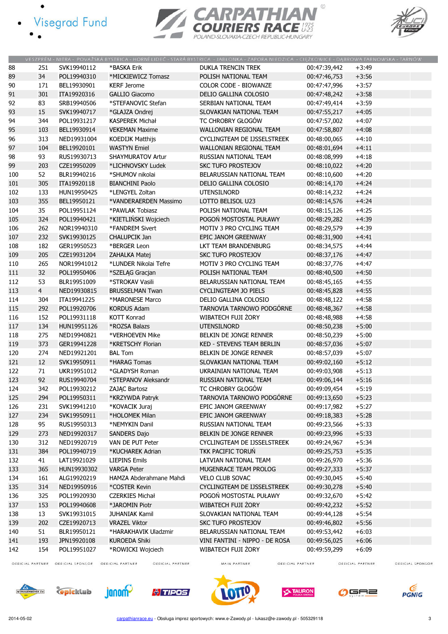- · Visegrad Fund
	-





|     |                |             |                          | VESZPRÉM - NITRA - POVAŽSKÁ BYSTRICA - HORNÍ LIDEČ - STARÁ BYSTRICA - JABŁONKA - ZAPORA NIEDZICA - CIEŻKOWICE - DABROWA TARNOWSKA - TARNÓW |              |         |
|-----|----------------|-------------|--------------------------|--------------------------------------------------------------------------------------------------------------------------------------------|--------------|---------|
| 88  | 251            | SVK19940112 | *BASKA Erik              | <b>DUKLA TRENCIN TREK</b>                                                                                                                  | 00:47:39,442 | $+3:49$ |
| 89  | 34             | POL19940310 | *MICKIEWICZ Tomasz       | POLISH NATIONAL TEAM                                                                                                                       | 00:47:46,753 | $+3:56$ |
| 90  | 171            | BEL19930901 | <b>KERF Jerome</b>       | <b>COLOR CODE - BIOWANZE</b>                                                                                                               | 00:47:47,996 | $+3:57$ |
| 91  | 301            | ITA19920316 | <b>GALLIO Giacomo</b>    | DELIO GALLINA COLOSIO                                                                                                                      | 00:47:48,242 | $+3:58$ |
| 92  | 83             | SRB19940506 | *STEFANOVIC Stefan       | SERBIAN NATIONAL TEAM                                                                                                                      | 00:47:49,414 | $+3:59$ |
| 93  | 15             | SVK19940717 | *GLAJZA Ondrej           | SLOVAKIAN NATIONAL TEAM                                                                                                                    | 00:47:55,217 | $+4:05$ |
| 94  | 344            | POL19931217 | <b>KASPEREK Michał</b>   | TC CHROBRY GŁOGÓW                                                                                                                          | 00:47:57,002 | $+4:07$ |
| 95  | 103            | BEL19930914 | <b>VEKEMAN Maxime</b>    | <b>WALLONIAN REGIONAL TEAM</b>                                                                                                             | 00:47:58,807 | $+4:08$ |
| 96  | 313            | NED19931004 | <b>KOEDIJK Matthijs</b>  | CYCLINGTEAM DE IJSSELSTREEK                                                                                                                | 00:48:00,065 | $+4:10$ |
| 97  | 104            | BEL19920101 | <b>WASTYN Emiel</b>      | WALLONIAN REGIONAL TEAM                                                                                                                    | 00:48:01,694 | $+4:11$ |
| 98  | 93             | RUS19930713 | <b>SHAYMURATOV Artur</b> | RUSSIAN NATIONAL TEAM                                                                                                                      | 00:48:08,999 | $+4:18$ |
| 99  | 203            | CZE19950209 | *LICHNOVSKY Ludek        | <b>SKC TUFO PROSTEJOV</b>                                                                                                                  | 00:48:10,022 | $+4:20$ |
| 100 | 52             | BLR19940216 | *SHUMOV nikolai          | BELARUSSIAN NATIONAL TEAM                                                                                                                  | 00:48:10,600 | $+4:20$ |
| 101 | 305            | ITA19920118 | <b>BIANCHINI Paolo</b>   | DELIO GALLINA COLOSIO                                                                                                                      | 00:48:14,170 | $+4:24$ |
| 102 | 133            | HUN19950425 | *LENGYEL Zoltan          | <b>UTENSILNORD</b>                                                                                                                         | 00:48:14,232 | $+4:24$ |
| 103 | 355            | BEL19950121 | *VANDERAERDEN Massimo    | LOTTO BELISOL U23                                                                                                                          | 00:48:14,576 | $+4:24$ |
| 104 | 35             | POL19951124 | *PAWLAK Tobiasz          | POLISH NATIONAL TEAM                                                                                                                       | 00:48:15,126 | $+4:25$ |
| 105 | 324            | POL19940421 | *KIETLIŃSKI Wojciech     | POGOŃ MOSTOSTAL PUŁAWY                                                                                                                     | 00:48:29,282 | $+4:39$ |
| 106 | 262            | NOR19940310 | *FANDREM Sivert          | MOTIV 3 PRO CYCLING TEAM                                                                                                                   | 00:48:29,579 | $+4:39$ |
| 107 | 232            | SVK19930125 | <b>CHALUPCIK Jan</b>     | EPIC JANOM GREENWAY                                                                                                                        | 00:48:31,900 | $+4:41$ |
|     |                |             |                          | LKT TEAM BRANDENBURG                                                                                                                       |              |         |
| 108 | 182            | GER19950523 | *BERGER Leon             |                                                                                                                                            | 00:48:34,575 | $+4:44$ |
| 109 | 205            | CZE19931204 | ZAHALKA Matej            | SKC TUFO PROSTEJOV                                                                                                                         | 00:48:37,176 | $+4:47$ |
| 110 | 265            | NOR19941012 | *LUNDER Nikolai Tefre    | MOTIV 3 PRO CYCLING TEAM                                                                                                                   | 00:48:37,776 | $+4:47$ |
| 111 | 32             | POL19950406 | *SZELAG Gracjan          | POLISH NATIONAL TEAM                                                                                                                       | 00:48:40,500 | $+4:50$ |
| 112 | 53             | BLR19951009 | *STROKAV Vasili          | BELARUSSIAN NATIONAL TEAM                                                                                                                  | 00:48:45,165 | $+4:55$ |
| 113 | $\overline{4}$ | NED19930815 | <b>BRUSSELMAN Twan</b>   | <b>CYCLINGTEAM JO PIELS</b>                                                                                                                | 00:48:45,828 | $+4:55$ |
| 114 | 304            | ITA19941225 | *MARONESE Marco          | DELIO GALLINA COLOSIO                                                                                                                      | 00:48:48,122 | $+4:58$ |
| 115 | 292            | POL19920706 | <b>KORDUS Adam</b>       | TARNOVIA TARNOWO PODGÓRNE                                                                                                                  | 00:48:48,367 | $+4:58$ |
| 116 | 152            | POL19931118 | <b>KOTT Konrad</b>       | WIBATECH FUJI ŻORY                                                                                                                         | 00:48:48,988 | $+4:58$ |
| 117 | 134            | HUN19951126 | *ROZSA Balazs            | <b>UTENSILNORD</b>                                                                                                                         | 00:48:50,238 | $+5:00$ |
| 118 | 275            | NED19940821 | *VERHOEVEN Mike          | BELKIN DE JONGE RENNER                                                                                                                     | 00:48:50,239 | $+5:00$ |
| 119 | 373            | GER19941228 | *KRETSCHY Florian        | KED - STEVENS TEAM BERLIN                                                                                                                  | 00:48:57,036 | $+5:07$ |
| 120 | 274            | NED19921201 | <b>BAL Tom</b>           | BELKIN DE JONGE RENNER                                                                                                                     | 00:48:57,039 | $+5:07$ |
| 121 | 12             | SVK19950911 | *HARAG Tomas             | SLOVAKIAN NATIONAL TEAM                                                                                                                    | 00:49:02,160 | $+5:12$ |
| 122 | 71             | UKR19951012 | *GLADYSH Roman           | UKRAINIAN NATIONAL TEAM                                                                                                                    | 00:49:03,908 | $+5:13$ |
| 123 | 92             | RUS19940704 | *STEPANOV Aleksandr      | RUSSIAN NATIONAL TEAM                                                                                                                      | 00:49:06,144 | $+5:16$ |
| 124 | 342            | POL19930212 | ZAJĄC Bartosz            | TC CHROBRY GŁOGÓW                                                                                                                          | 00:49:09,454 | $+5:19$ |
| 125 | 294            | POL19950311 | *KRZYWDA Patryk          | TARNOVIA TARNOWO PODGÓRNE                                                                                                                  | 00:49:13,650 | $+5:23$ |
| 126 | 231            | SVK19941210 | *KOVACIK Juraj           | EPIC JANOM GREENWAY                                                                                                                        | 00:49:17,982 | $+5:27$ |
| 127 | 234            | SVK19950911 | *HOLOMEK Milan           | EPIC JANOM GREENWAY                                                                                                                        | 00:49:18,383 | $+5:28$ |
| 128 | 95             | RUS19950313 | *NEMYKIN Danil           | RUSSIAN NATIONAL TEAM                                                                                                                      | 00:49:23,566 | $+5:33$ |
| 129 | 273            | NED19920317 | <b>SANDERS Dajo</b>      | BELKIN DE JONGE RENNER                                                                                                                     | 00:49:23,996 | $+5:33$ |
| 130 | 312            | NED19920719 | VAN DE PUT Peter         | CYCLINGTEAM DE IJSSELSTREEK                                                                                                                | 00:49:24,967 | $+5:34$ |
| 131 | 384            | POL19940719 | *KUCHAREK Adrian         | TKK PACIFIC TORUŃ                                                                                                                          | 00:49:25,753 | $+5:35$ |
| 132 | 41             | LAT19921029 | <b>LIEPINS Emils</b>     | LATVIAN NATIONAL TEAM                                                                                                                      | 00:49:26,970 | $+5:36$ |
| 133 | 365            | HUN19930302 | <b>VARGA Peter</b>       | MUGENRACE TEAM PROLOG                                                                                                                      | 00:49:27,333 | $+5:37$ |
| 134 | 161            | ALG19920219 | HAMZA Abderahmane Mahdi  | <b>VELO CLUB SOVAC</b>                                                                                                                     | 00:49:30,045 | $+5:40$ |
| 135 | 314            | NED19950916 | *COSTER Kevin            | CYCLINGTEAM DE IJSSELSTREEK                                                                                                                | 00:49:30,278 | $+5:40$ |
| 136 | 325            | POL19920930 | <b>CZERKIES Michał</b>   | POGOŃ MOSTOSTAL PUŁAWY                                                                                                                     | 00:49:32,670 | $+5:42$ |
| 137 | 153            | POL19940608 | *JAROMIN Piotr           | WIBATECH FUJI ŻORY                                                                                                                         | 00:49:42,232 | $+5:52$ |
| 138 | 13             | SVK19931015 | <b>JUHANIAK Kamil</b>    | SLOVAKIAN NATIONAL TEAM                                                                                                                    | 00:49:44,128 | $+5:54$ |
| 139 | 202            | CZE19920713 | <b>VRAZEL Viktor</b>     | <b>SKC TUFO PROSTEJOV</b>                                                                                                                  | 00:49:46,802 | $+5:56$ |
| 140 | 51             | BLR19950121 | *HARAKHAVIK Uladzmir     | BELARUSSIAN NATIONAL TEAM                                                                                                                  | 00:49:53,442 | $+6:03$ |
| 141 | 193            | JPN19920108 | <b>KUROEDA Shiki</b>     | VINI FANTINI - NIPPO - DE ROSA                                                                                                             | 00:49:56,025 | $+6:06$ |
| 142 | 154            | POL19951027 | *ROWICKI Wojciech        | WIBATECH FUJI ŻORY                                                                                                                         | 00:49:59,299 | $+6:09$ |

OFFICIAL PARTNER OFFICIAL SPONSOR OFFICIAL PARTNER

OFFICIAL PARTNER

MAIN PARTNER

OFFICIAL PARTNER

OFFICIAL PARTNER















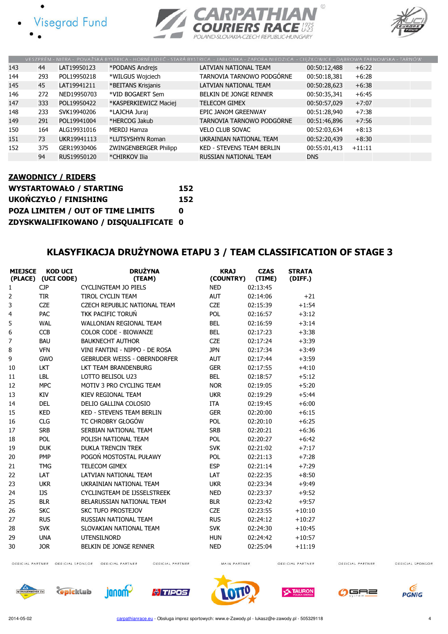





|     |     |             |                       | VESZPRÉM - NITRA - POVAŽSKÁ BYSTRICA - HORNÍ LIDEČ - STARÁ BYSTRICA - JABŁONKA - ZAPORA NIEDZICA - CIEŽKOWICE - DABROWA TARNOWSKA - TARNÓW |              |          |
|-----|-----|-------------|-----------------------|--------------------------------------------------------------------------------------------------------------------------------------------|--------------|----------|
| 143 | 44  | LAT19950123 | *PODANS Andrejs       | LATVIAN NATIONAL TEAM                                                                                                                      | 00:50:12,488 | $+6:22$  |
| 144 | 293 | POL19950218 | *WILGUS Wojciech      | TARNOVIA TARNOWO PODGÓRNE                                                                                                                  | 00:50:18,381 | $+6:28$  |
| 145 | 45  | LAT19941211 | *BEITANS Krisjanis    | LATVIAN NATIONAL TEAM                                                                                                                      | 00:50:28,623 | $+6:38$  |
| 146 | 272 | NED19950703 | *VID BOGAERT Sem      | BELKIN DE JONGE RENNER                                                                                                                     | 00:50:35,341 | $+6:45$  |
| 147 | 333 | POL19950422 | *KASPERKIEWICZ Maciej | <b>TELECOM GIMEX</b>                                                                                                                       | 00:50:57,029 | $+7:07$  |
| 148 | 233 | SVK19940206 | *LAJCHA Juraj         | EPIC JANOM GREENWAY                                                                                                                        | 00:51:28,940 | $+7:38$  |
| 149 | 291 | POL19941004 | *HERCOG Jakub         | TARNOVIA TARNOWO PODGÓRNE                                                                                                                  | 00:51:46,896 | $+7:56$  |
| 150 | 164 | ALG19931016 | MERDJ Hamza           | <b>VELO CLUB SOVAC</b>                                                                                                                     | 00:52:03,634 | $+8:13$  |
| 151 | 73  | UKR19941113 | *LUTSYSHYN Roman      | UKRAINIAN NATIONAL TEAM                                                                                                                    | 00:52:20,439 | $+8:30$  |
| 152 | 375 | GER19930406 | ZWINGENBERGER Philipp | <b>KED - STEVENS TEAM BERLIN</b>                                                                                                           | 00:55:01,413 | $+11:11$ |
|     | 94  | RUS19950120 | *CHIRKOV Ilia         | <b>RUSSIAN NATIONAL TEAM</b>                                                                                                               | <b>DNS</b>   |          |

#### ZAWODNICY / RIDERS

| <b>WYSTARTOWAŁO / STARTING</b>       | 152 |
|--------------------------------------|-----|
| <b>UKOŃCZYŁO / FINISHING</b>         | 152 |
| POZA LIMITEM / OUT OF TIME LIMITS    | n   |
| ZDYSKWALIFIKOWANO / DISQUALIFICATE 0 |     |

#### KLASYFIKACJA DRUŻYNOWA ETAPU 3 / TEAM CLASSIFICATION OF STAGE 3

| <b>MIEJSCE</b> | <b>KOD UCI</b><br>(PLACE) (UCI CODE) | <b>DRUŻYNA</b><br>(TEAM)            | <b>KRAJ</b><br>(COUNTRY) | <b>CZAS</b><br>(TIME) | <b>STRATA</b><br>(DIFF.) |
|----------------|--------------------------------------|-------------------------------------|--------------------------|-----------------------|--------------------------|
| 1              | <b>CJP</b>                           | <b>CYCLINGTEAM JO PIELS</b>         | <b>NED</b>               | 02:13:45              |                          |
| $\overline{2}$ | <b>TIR</b>                           | <b>TIROL CYCLIN TEAM</b>            | <b>AUT</b>               | 02:14:06              | $+21$                    |
| 3              | <b>CZE</b>                           | <b>CZECH REPUBLIC NATIONAL TEAM</b> | <b>CZE</b>               | 02:15:39              | $+1:54$                  |
| $\overline{4}$ | <b>PAC</b>                           | <b>TKK PACIFIC TORUŃ</b>            | <b>POL</b>               | 02:16:57              | $+3:12$                  |
| 5              | <b>WAL</b>                           | <b>WALLONIAN REGIONAL TEAM</b>      | <b>BEL</b>               | 02:16:59              | $+3:14$                  |
| 6              | <b>CCB</b>                           | <b>COLOR CODE - BIOWANZE</b>        | <b>BEL</b>               | 02:17:23              | $+3:38$                  |
| $\overline{7}$ | <b>BAU</b>                           | <b>BAUKNECHT AUTHOR</b>             | <b>CZE</b>               | 02:17:24              | $+3:39$                  |
| 8              | <b>VFN</b>                           | VINI FANTINI - NIPPO - DE ROSA      | <b>JPN</b>               | 02:17:34              | $+3:49$                  |
| 9              | <b>GWO</b>                           | <b>GEBRUDER WEISS - OBERNDORFER</b> | <b>AUT</b>               | 02:17:44              | $+3:59$                  |
| 10             | <b>LKT</b>                           | <b>LKT TEAM BRANDENBURG</b>         | <b>GER</b>               | 02:17:55              | $+4:10$                  |
| 11             | <b>LBL</b>                           | LOTTO BELISOL U23                   | <b>BEL</b>               | 02:18:57              | $+5:12$                  |
| 12             | <b>MPC</b>                           | MOTIV 3 PRO CYCLING TEAM            | <b>NOR</b>               | 02:19:05              | $+5:20$                  |
| 13             | <b>KIV</b>                           | KIEV REGIONAL TEAM                  | <b>UKR</b>               | 02:19:29              | $+5:44$                  |
| 14             | <b>DEL</b>                           | DELIO GALLINA COLOSIO               | <b>ITA</b>               | 02:19:45              | $+6:00$                  |
| 15             | <b>KED</b>                           | <b>KED - STEVENS TEAM BERLIN</b>    | <b>GER</b>               | 02:20:00              | $+6:15$                  |
| 16             | <b>CLG</b>                           | TC CHROBRY GŁOGÓW                   | <b>POL</b>               | 02:20:10              | $+6:25$                  |
| 17             | <b>SRB</b>                           | SERBIAN NATIONAL TEAM               | <b>SRB</b>               | 02:20:21              | $+6:36$                  |
| 18             | POL                                  | POLISH NATIONAL TFAM                | <b>POL</b>               | 02:20:27              | $+6:42$                  |
| 19             | <b>DUK</b>                           | <b>DUKLA TRENCIN TREK</b>           | <b>SVK</b>               | 02:21:02              | $+7:17$                  |
| 20             | <b>PMP</b>                           | POGOŃ MOSTOSTAL PUŁAWY              | POL                      | 02:21:13              | $+7:28$                  |
| 21             | <b>TMG</b>                           | <b>TELECOM GIMEX</b>                | <b>ESP</b>               | 02:21:14              | $+7:29$                  |
| 22             | LAT                                  | <b>LATVIAN NATIONAL TEAM</b>        | LAT                      | 02:22:35              | $+8:50$                  |
| 23             | <b>UKR</b>                           | UKRAINIAN NATIONAL TEAM             | <b>UKR</b>               | 02:23:34              | $+9:49$                  |
| 24             | <b>IJS</b>                           | CYCLINGTEAM DE IJSSELSTREEK         | <b>NED</b>               | 02:23:37              | $+9:52$                  |
| 25             | <b>BLR</b>                           | BELARUSSIAN NATIONAL TEAM           | <b>BLR</b>               | 02:23:42              | $+9:57$                  |
| 26             | <b>SKC</b>                           | <b>SKC TUFO PROSTEJOV</b>           | <b>CZE</b>               | 02:23:55              | $+10:10$                 |
| 27             | <b>RUS</b>                           | RUSSIAN NATIONAL TEAM               | <b>RUS</b>               | 02:24:12              | $+10:27$                 |
| 28             | <b>SVK</b>                           | SLOVAKIAN NATIONAL TEAM             | <b>SVK</b>               | 02:24:30              | $+10:45$                 |
| 29             | <b>UNA</b>                           | <b>UTENSILNORD</b>                  | <b>HUN</b>               | 02:24:42              | $+10:57$                 |
| 30             | <b>JOR</b>                           | BELKIN DE JONGE RENNER              | <b>NED</b>               | 02:25:04              | $+11:19$                 |
|                |                                      |                                     |                          |                       |                          |

OFFICIAL PARTNER

OFFICIAL SPONSOR





OFFICIAL PARTNER OFFICIAL SPONSOR OFFICIAL PARTNER



OFFICIAL PARTNER



MAIN PARTNER



OFFICIAL PARTNER



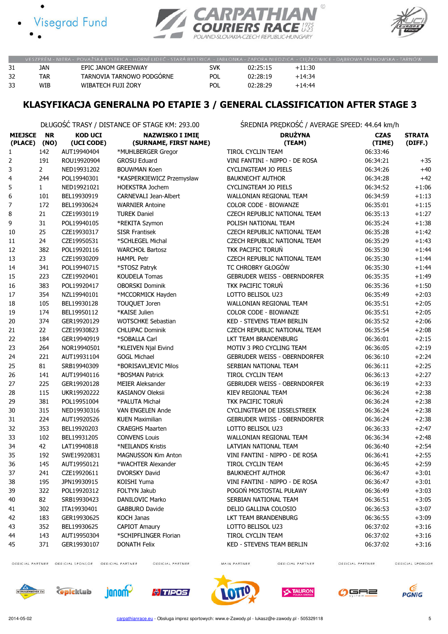





|    |     | VESZPRÉM - NITRA - POVAŽSKÁ BYSTRICA - HORNÍ LIDEČ - STARÁ BYSTRICA - JABŁONKA - ZAPORA NIEDZICA - CIEŻKOWICE - DABROWA TARNOWSKA - TARNÓW |            |          |          |  |
|----|-----|--------------------------------------------------------------------------------------------------------------------------------------------|------------|----------|----------|--|
| 31 | JAN | EPIC JANOM GREENWAY                                                                                                                        | svk        | 02:25:15 | $+11:30$ |  |
|    | TAR | TARNOVIA TARNOWO PODGÓRNE                                                                                                                  | <b>POL</b> | 02:28:19 | $+14:34$ |  |
| 33 | WIB | WIBATECH FUJI ZORY                                                                                                                         | POL        | 02:28:29 | $+14:44$ |  |

## KLASYFIKACJA GENERALNA PO ETAPIE 3 / GENERAL CLASSIFICATION AFTER STAGE 3

DŁUGOŚĆ TRASY / DISTANCE OF STAGE KM: 293.00 ŚREDNIA PRĘDKOŚĆ / AVERAGE SPEED: 44.64 km/h

| <b>MIEJSCE</b><br>(PLACE) | <b>NR</b><br>(NO) | <b>KOD UCI</b><br>(UCI CODE) | <b>NAZWISKO I IMIĘ</b><br>(SURNAME, FIRST NAME) | <b>DRUŻYNA</b><br>(TEAM)            | <b>CZAS</b><br>(TIME) | <b>STRATA</b><br>(DIFF.) |
|---------------------------|-------------------|------------------------------|-------------------------------------------------|-------------------------------------|-----------------------|--------------------------|
| 1                         | 142               | AUT19940404                  | *MUHLBERGER Gregor                              | <b>TIROL CYCLIN TEAM</b>            | 06:33:46              |                          |
| $\overline{2}$            | 191               | ROU19920904                  | <b>GROSU Eduard</b>                             | VINI FANTINI - NIPPO - DE ROSA      | 06:34:21              | $+35$                    |
| 3                         | $\overline{2}$    | NED19931202                  | <b>BOUWMAN Koen</b>                             | <b>CYCLINGTEAM JO PIELS</b>         | 06:34:26              | $+40$                    |
| 4                         | 244               | POL19940301                  | *KASPERKIEWICZ Przemysław                       | <b>BAUKNECHT AUTHOR</b>             | 06:34:28              | $+42$                    |
| 5                         | $\mathbf{1}$      | NED19921021                  | <b>HOEKSTRA Jochem</b>                          | <b>CYCLINGTEAM JO PIELS</b>         | 06:34:52              | $+1:06$                  |
| 6                         | 101               | BEL19930919                  | CARNEVALI Jean-Albert                           | WALLONIAN REGIONAL TEAM             | 06:34:59              | $+1:13$                  |
| 7                         | 172               | BEL19930624                  | <b>WARNIER Antoine</b>                          | COLOR CODE - BIOWANZE               | 06:35:01              | $+1:15$                  |
| 8                         | 21                | CZE19930119                  | <b>TUREK Daniel</b>                             | CZECH REPUBLIC NATIONAL TEAM        | 06:35:13              | $+1:27$                  |
| 9                         | 31                | POL19940105                  | *REKITA Szymon                                  | POLISH NATIONAL TEAM                | 06:35:24              | $+1:38$                  |
| 10                        | 25                | CZE19930317                  | <b>SISR Frantisek</b>                           | CZECH REPUBLIC NATIONAL TEAM        | 06:35:28              | $+1:42$                  |
| 11                        | 24                | CZE19950531                  | *SCHLEGEL Michal                                | CZECH REPUBLIC NATIONAL TEAM        | 06:35:29              | $+1:43$                  |
| 12                        | 382               | POL19920116                  | <b>WARCHOŁ Bartosz</b>                          | TKK PACIFIC TORUŃ                   | 06:35:30              | $+1:44$                  |
| 13                        | 23                | CZE19930209                  | <b>HAMPL Petr</b>                               | CZECH REPUBLIC NATIONAL TEAM        | 06:35:30              | $+1:44$                  |
| 14                        | 341               | POL19940715                  | *STOSZ Patryk                                   | TC CHROBRY GŁOGÓW                   | 06:35:30              | $+1:44$                  |
| 15                        | 223               | CZE19920401                  | <b>KOUDELA Tomas</b>                            | <b>GEBRUDER WEISS - OBERNDORFER</b> | 06:35:35              | $+1:49$                  |
| 16                        | 383               | POL19920417                  | <b>OBORSKI Dominik</b>                          | TKK PACIFIC TORUŃ                   | 06:35:36              | $+1:50$                  |
| 17                        | 354               | NZL19940101                  | *MCCORMICK Hayden                               | LOTTO BELISOL U23                   | 06:35:49              | $+2:03$                  |
| 18                        | 105               | BEL19930128                  | TOUQUET Joren                                   | WALLONIAN REGIONAL TEAM             | 06:35:51              | $+2:05$                  |
| 19                        | 174               | BEL19950112                  | *KAISE Julien                                   | COLOR CODE - BIOWANZE               | 06:35:51              | $+2:05$                  |
| 20                        | 374               | GER19920129                  | <b>WOTSCHKE Sebastian</b>                       | KED - STEVENS TEAM BERLIN           | 06:35:52              | $+2:06$                  |
| 21                        | 22                | CZE19930823                  | <b>CHLUPAC Dominik</b>                          | CZECH REPUBLIC NATIONAL TEAM        | 06:35:54              | $+2:08$                  |
| 22                        | 184               | GER19940919                  | *SOBALLA Carl                                   | LKT TEAM BRANDENBURG                | 06:36:01              | $+2:15$                  |
| 23                        | 264               | NOR19940501                  | *KLEIVEN Njal Eivind                            | MOTIV 3 PRO CYCLING TEAM            | 06:36:05              | $+2:19$                  |
| 24                        | 221               | AUT19931104                  | <b>GOGL Michael</b>                             | <b>GEBRUDER WEISS - OBERNDORFER</b> | 06:36:10              | $+2:24$                  |
| 25                        | 81                | SRB19940309                  | *BORISAVLJEVIC Milos                            | SERBIAN NATIONAL TEAM               | 06:36:11              | $+2:25$                  |
| 26                        | 141               | AUT19940116                  | *BOSMAN Patrick                                 | TIROL CYCLIN TEAM                   | 06:36:13              | $+2:27$                  |
| 27                        | 225               | GER19920128                  | <b>MEIER Aleksander</b>                         | <b>GEBRUDER WEISS - OBERNDORFER</b> | 06:36:19              | $+2:33$                  |
| 28                        | 115               | UKR19920222                  | <b>KASIANOV Oleksii</b>                         | KIEV REGIONAL TEAM                  | 06:36:24              | $+2:38$                  |
| 29                        | 381               | POL19951004                  | *PALUTA Michał                                  | TKK PACIFIC TORUŃ                   | 06:36:24              | $+2:38$                  |
| 30                        | 315               | NED19930316                  | VAN ENGELEN Ande                                | CYCLINGTEAM DE IJSSELSTREEK         | 06:36:24              | $+2:38$                  |
| 31                        | 224               | AUT19920526                  | <b>KUEN Maximilian</b>                          | <b>GEBRUDER WEISS - OBERNDORFER</b> | 06:36:24              | $+2:38$                  |
| 32                        | 353               | BEL19920203                  | <b>CRAEGHS Maarten</b>                          | LOTTO BELISOL U23                   | 06:36:33              | $+2:47$                  |
| 33                        | 102               | BEL19931205                  | <b>CONVENS Louis</b>                            | WALLONIAN REGIONAL TEAM             | 06:36:34              | $+2:48$                  |
| 34                        | 42                | LAT19940818                  | *NEILANDS Kristis                               | LATVIAN NATIONAL TEAM               | 06:36:40              | $+2:54$                  |
| 35                        | 192               | SWE19920831                  | <b>MAGNUSSON Kim Anton</b>                      | VINI FANTINI - NIPPO - DE ROSA      | 06:36:41              | $+2:55$                  |
| 36                        | 145               | AUT19950121                  | *WACHTER Alexander                              | TIROL CYCLIN TEAM                   | 06:36:45              | $+2:59$                  |
| 37                        | 241               | CZE19920611                  | <b>DVORSKY David</b>                            | <b>BAUKNECHT AUTHOR</b>             | 06:36:47              | $+3:01$                  |
| 38                        | 195               | JPN19930915                  | KOISHI Yuma                                     | VINI FANTINI - NIPPO - DE ROSA      | 06:36:47              | $+3:01$                  |
| 39                        | 322               | POL19920312                  | FOLTYN Jakub                                    | POGOŃ MOSTOSTAL PUŁAWY              | 06:36:49              | $+3:03$                  |
| 40                        | 82                | SRB19930423                  | DANILOVIC Marko                                 | SERBIAN NATIONAL TEAM               | 06:36:51              | $+3:05$                  |
| 41                        | 302               | ITA19930401                  | <b>GABBURO Davide</b>                           | DELIO GALLINA COLOSIO               | 06:36:53              | $+3:07$                  |
| 42                        | 183               | GER19930625                  | <b>KOCH Janas</b>                               | LKT TEAM BRANDENBURG                | 06:36:55              | $+3:09$                  |
| 43                        | 352               | BEL19930625                  | <b>CAPIOT Amaury</b>                            | LOTTO BELISOL U23                   | 06:37:02              | $+3:16$                  |
| 44                        | 143               | AUT19950304                  | *SCHIPFLINGER Florian                           | TIROL CYCLIN TEAM                   | 06:37:02              | $+3:16$                  |
| 45                        | 371               | GER19930107                  | <b>DONATH Felix</b>                             | KED - STEVENS TEAM BERLIN           | 06:37:02              | $+3:16$                  |

OFFICIAL PARTNER OFFICIAL SPONSOR OFFICIAL PARTNER

OFFICIAL PARTNER

MAIN PARTNER

OFFICIAL PARTNER

OFFICIAL PARTNER













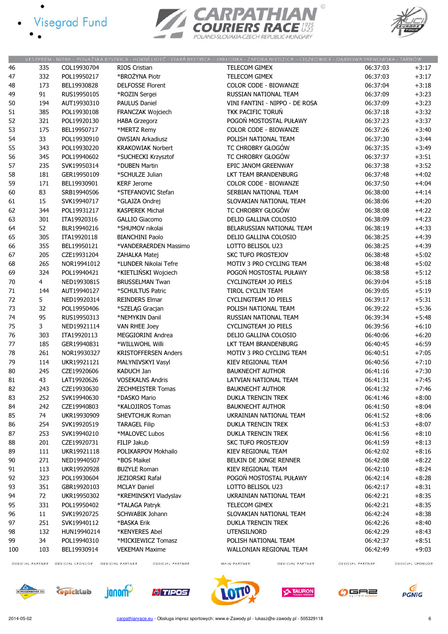- · Visegrad Fund
	-





|     |                  |                  |                                        | VESZPRÉM - NITRA - POVAŽSKÁ BYSTRICA - HORNÍ LIDEČ - STARÁ BYSTRICA - JABŁONKA - ZAPORA NIEDZICA - CIĘŻKOWICE - DABROWA TARNOWSKA - TARNÓW |                  |                  |
|-----|------------------|------------------|----------------------------------------|--------------------------------------------------------------------------------------------------------------------------------------------|------------------|------------------|
| 46  | 335              | COL19930704      | <b>RIOS Cristian</b>                   | TELECOM GIMEX                                                                                                                              | 06:37:03         | $+3:17$          |
| 47  | 332              | POL19950217      | *BROŻYNA Piotr                         | TELECOM GIMEX                                                                                                                              | 06:37:03         | $+3:17$          |
| 48  | 173              | BEL19930828      | <b>DELFOSSE Florent</b>                | COLOR CODE - BIOWANZE                                                                                                                      | 06:37:04         | $+3:18$          |
| 49  | 91               | RUS19950105      | *ROZIN Sergei                          | RUSSIAN NATIONAL TEAM                                                                                                                      | 06:37:09         | $+3:23$          |
| 50  | 194              | AUT19930310      | <b>PAULUS Daniel</b>                   | VINI FANTINI - NIPPO - DE ROSA                                                                                                             | 06:37:09         | $+3:23$          |
| 51  | 385              | POL19930108      | FRANCZAK Wojciech                      | TKK PACIFIC TORUŃ                                                                                                                          | 06:37:18         | $+3:32$          |
| 52  | 321              | POL19920130      | <b>HABA Grzegorz</b>                   | POGOŃ MOSTOSTAL PUŁAWY                                                                                                                     | 06:37:23         | $+3:37$          |
| 53  |                  | BEL19950717      |                                        | COLOR CODE - BIOWANZE                                                                                                                      | 06:37:26         | $+3:40$          |
| 54  | 175<br>33        | POL19930910      | *MERTZ Remy<br><b>OWSIAN Arkadiusz</b> | POLISH NATIONAL TEAM                                                                                                                       | 06:37:30         | $+3:44$          |
|     |                  |                  |                                        |                                                                                                                                            |                  |                  |
| 55  | 343              | POL19930220      | <b>KRAKOWIAK Norbert</b>               | TC CHROBRY GŁOGÓW                                                                                                                          | 06:37:35         | $+3:49$          |
| 56  | 345              | POL19940602      | *SUCHECKI Krzysztof                    | TC CHROBRY GŁOGÓW                                                                                                                          | 06:37:37         | $+3:51$          |
| 57  | 235              | SVK19950314      | *DUBEN Martin                          | EPIC JANOM GREENWAY                                                                                                                        | 06:37:38         | $+3:52$          |
| 58  | 181              | GER19950109      | *SCHULZE Julian                        | LKT TEAM BRANDENBURG                                                                                                                       | 06:37:48         | $+4:02$          |
| 59  | 171              | BEL19930901      | <b>KERF Jerome</b>                     | COLOR CODE - BIOWANZE                                                                                                                      | 06:37:50         | $+4:04$          |
| 60  | 83               | SRB19940506      | *STEFANOVIC Stefan                     | SERBIAN NATIONAL TEAM                                                                                                                      | 06:38:00         | $+4:14$          |
| 61  | 15               | SVK19940717      | *GLAJZA Ondrej                         | SLOVAKIAN NATIONAL TEAM                                                                                                                    | 06:38:06         | $+4:20$          |
| 62  | 344              | POL19931217      | <b>KASPEREK Michał</b>                 | TC CHROBRY GŁOGÓW                                                                                                                          | 06:38:08         | $+4:22$          |
| 63  | 301              | ITA19920316      | <b>GALLIO Giacomo</b>                  | DELIO GALLINA COLOSIO                                                                                                                      | 06:38:09         | $+4:23$          |
| 64  | 52               | BLR19940216      | *SHUMOV nikolai                        | BELARUSSIAN NATIONAL TEAM                                                                                                                  | 06:38:19         | $+4:33$          |
| 65  | 305              | ITA19920118      | <b>BIANCHINI Paolo</b>                 | DELIO GALLINA COLOSIO                                                                                                                      | 06:38:25         | $+4:39$          |
| 66  | 355              | BEL19950121      | *VANDERAERDEN Massimo                  | LOTTO BELISOL U23                                                                                                                          | 06:38:25         | $+4:39$          |
| 67  | 205              | CZE19931204      | ZAHALKA Matej                          | <b>SKC TUFO PROSTEJOV</b>                                                                                                                  | 06:38:48         | $+5:02$          |
| 68  | 265              | NOR19941012      | *LUNDER Nikolai Tefre                  | MOTIV 3 PRO CYCLING TEAM                                                                                                                   | 06:38:48         | $+5:02$          |
| 69  | 324              | POL19940421      | *KIETLIŃSKI Wojciech                   | POGOŃ MOSTOSTAL PUŁAWY                                                                                                                     | 06:38:58         | $+5:12$          |
| 70  | 4                | NED19930815      | <b>BRUSSELMAN Twan</b>                 | <b>CYCLINGTEAM JO PIELS</b>                                                                                                                | 06:39:04         | $+5:18$          |
| 71  | 144              | AUT19940127      | *SCHULTUS Patric                       | TIROL CYCLIN TEAM                                                                                                                          | 06:39:05         | $+5:19$          |
| 72  | 5                | NED19920314      | <b>REINDERS Elmar</b>                  | <b>CYCLINGTEAM JO PIELS</b>                                                                                                                | 06:39:17         | $+5:31$          |
|     |                  |                  |                                        |                                                                                                                                            |                  |                  |
| 73  | 32               | POL19950406      | *SZELĄG Gracjan                        | POLISH NATIONAL TEAM                                                                                                                       | 06:39:22         | $+5:36$          |
| 74  | 95               | RUS19950313      | *NEMYKIN Danil                         | RUSSIAN NATIONAL TEAM                                                                                                                      | 06:39:34         | $+5:48$          |
| 75  | 3                | NED19921114      | VAN RHEE Joey                          | <b>CYCLINGTEAM JO PIELS</b>                                                                                                                | 06:39:56         | $+6:10$          |
| 76  | 303              | ITA19920113      | MEGGIORINI Andrea                      | DELIO GALLINA COLOSIO                                                                                                                      | 06:40:06         | $+6:20$          |
| 77  | 185              | GER19940831      | *WILLWOHL Willi                        | LKT TEAM BRANDENBURG                                                                                                                       | 06:40:45         | $+6:59$          |
| 78  | 261              | NOR19930327      | <b>KRISTOFFERSEN Anders</b>            | MOTIV 3 PRO CYCLING TEAM                                                                                                                   | 06:40:51         | $+7:05$          |
| 79  | 114              | UKR19921121      | MALYNIVSKYI Vasyl                      | KIEV REGIONAL TEAM                                                                                                                         | 06:40:56         | $+7:10$          |
| 80  | 245              | CZE19920606      | <b>KADUCH Jan</b>                      | <b>BAUKNECHT AUTHOR</b>                                                                                                                    | 06:41:16         | $+7:30$          |
| 81  | 43               | LAT19920626      | <b>VOSEKALNS Andris</b>                | LATVIAN NATIONAL TEAM                                                                                                                      | 06:41:31         | $+7:45$          |
| 82  | 243              | CZE19930630      | <b>ZECHMEISTER Tomas</b>               | <b>BAUKNECHT AUTHOR</b>                                                                                                                    | 06:41:32         | $+7:46$          |
| 83  | 252              | SVK19940630      | *DASKO Mario                           | DUKLA TRENCIN TREK                                                                                                                         | 06:41:46         | $+8:00$          |
| 84  | 242              | CZE19940803      | *KALOJIROS Tomas                       | <b>BAUKNECHT AUTHOR</b>                                                                                                                    | 06:41:50         | $+8:04$          |
| 85  | 74               | UKR19930909      | <b>SHEVTCHUK Roman</b>                 | UKRAINIAN NATIONAL TEAM                                                                                                                    | 06:41:52         | $+8:06$          |
| 86  | 254              | SVK19920519      | <b>TARAGEL Filip</b>                   | <b>DUKLA TRENCIN TREK</b>                                                                                                                  | 06:41:53         | $+8:07$          |
| 87  | 253              | SVK19940210      | *MALOVEC Lubos                         | <b>DUKLA TRENCIN TREK</b>                                                                                                                  | 06:41:56         | $+8:10$          |
| 88  | 201              | CZE19920731      | FILIP Jakub                            | <b>SKC TUFO PROSTEJOV</b>                                                                                                                  | 06:41:59         | $+8:13$          |
| 89  | 111              | UKR19921118      | POLIKARPOV Mokhailo                    | KIEV REGIONAL TEAM                                                                                                                         | 06:42:02         | $+8:16$          |
| 90  | 271              | NED19940507      | *BOS Maikel                            | BELKIN DE JONGE RENNER                                                                                                                     | 06:42:08         | $+8:22$          |
| 91  | 113              | UKR19920928      | <b>BUZYLE Roman</b>                    | KIEV REGIONAL TEAM                                                                                                                         | 06:42:10         | $+8:24$          |
| 92  | 323              | POL19930604      | JEZIORSKI Rafał                        | POGOŃ MOSTOSTAL PUŁAWY                                                                                                                     | 06:42:14         | $+8:28$          |
| 93  | 351              | GBR19920103      | <b>MCLAY Daniel</b>                    | LOTTO BELISOL U23                                                                                                                          | 06:42:17         | $+8:31$          |
| 94  | 72               | UKR19950302      | *KREMINSKYI Vladyslav                  | UKRAINIAN NATIONAL TEAM                                                                                                                    | 06:42:21         | $+8:35$          |
| 95  | 331              | POL19950402      | *TALAGA Patryk                         | TELECOM GIMEX                                                                                                                              | 06:42:21         | $+8:35$          |
| 96  | 11               | SVK19920725      | <b>SCHWABIK Johann</b>                 | SLOVAKIAN NATIONAL TEAM                                                                                                                    | 06:42:24         | $+8:38$          |
| 97  | 251              | SVK19940112      | *BASKA Erik                            | DUKLA TRENCIN TREK                                                                                                                         | 06:42:26         | $+8:40$          |
| 98  | 132              | HUN19940214      | *KENYERES Abel                         | <b>UTENSILNORD</b>                                                                                                                         | 06:42:29         | $+8:43$          |
| 99  | 34               | POL19940310      | *MICKIEWICZ Tomasz                     | POLISH NATIONAL TEAM                                                                                                                       | 06:42:37         | $+8:51$          |
| 100 | 103              | BEL19930914      | <b>VEKEMAN Maxime</b>                  | WALLONIAN REGIONAL TEAM                                                                                                                    | 06:42:49         | $+9:03$          |
|     |                  |                  |                                        |                                                                                                                                            |                  |                  |
|     | OFFICIAL PARTNER | OFFICIAL SPONSOR | OFFICIAL PARTNER<br>OFFICIAL PARTNER   | MAIN PARTNER<br>OFFICIAL PARTNER                                                                                                           | OFFICIAL PARTNER | OFFICIAL SPONSOR |



OFFICIAL PARTNER

MAIN PARTNER















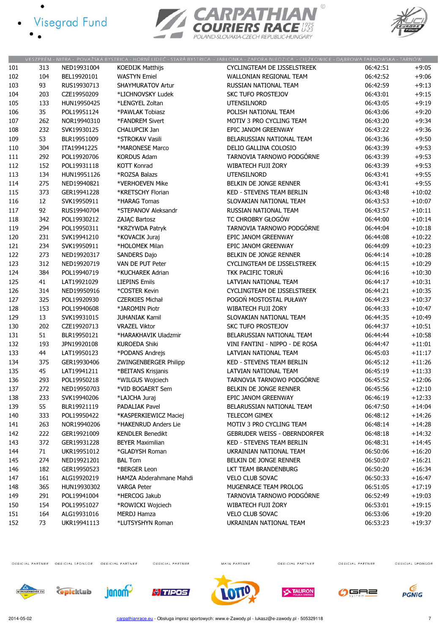- · Visegrad Fund
	-





|     |            |             |                                  | VESZPRÉM - NITRA - POVAŻSKÁ BYSTRICA - HORNÍ LIDEĆ - STARÁ BYSTRICA - JABŁONKA - ZAPORA NIEDZICA - CIĘŻKOWICE - DĄBROWA TARNOWSKA - TARNÓW |          |          |
|-----|------------|-------------|----------------------------------|--------------------------------------------------------------------------------------------------------------------------------------------|----------|----------|
| 101 | 313        | NED19931004 | <b>KOEDIJK Matthijs</b>          | CYCLINGTEAM DE IJSSELSTREEK                                                                                                                | 06:42:51 | $+9:05$  |
| 102 | 104        | BEL19920101 | <b>WASTYN Emiel</b>              | <b>WALLONIAN REGIONAL TEAM</b>                                                                                                             | 06:42:52 | $+9:06$  |
| 103 | 93         | RUS19930713 | <b>SHAYMURATOV Artur</b>         | RUSSIAN NATIONAL TEAM                                                                                                                      | 06:42:59 | $+9:13$  |
| 104 | 203        | CZE19950209 | *LICHNOVSKY Ludek                | <b>SKC TUFO PROSTEJOV</b>                                                                                                                  | 06:43:01 | $+9:15$  |
| 105 | 133        | HUN19950425 | *LENGYEL Zoltan                  | <b>UTENSILNORD</b>                                                                                                                         | 06:43:05 | $+9:19$  |
| 106 | 35         | POL19951124 | *PAWLAK Tobiasz                  | POLISH NATIONAL TEAM                                                                                                                       | 06:43:06 | $+9:20$  |
| 107 | 262        | NOR19940310 | *FANDREM Sivert                  | MOTIV 3 PRO CYCLING TEAM                                                                                                                   | 06:43:20 | $+9:34$  |
| 108 | 232        | SVK19930125 | CHALUPCIK Jan                    | EPIC JANOM GREENWAY                                                                                                                        | 06:43:22 | $+9:36$  |
| 109 | 53         | BLR19951009 | *STROKAV Vasili                  | BELARUSSIAN NATIONAL TEAM                                                                                                                  | 06:43:36 | $+9:50$  |
| 110 | 304        | ITA19941225 | *MARONESE Marco                  | DELIO GALLINA COLOSIO                                                                                                                      | 06:43:39 | $+9:53$  |
| 111 | 292        | POL19920706 | <b>KORDUS Adam</b>               | TARNOVIA TARNOWO PODGÓRNE                                                                                                                  | 06:43:39 | $+9:53$  |
| 112 | 152        | POL19931118 | <b>KOTT Konrad</b>               | WIBATECH FUJI ŻORY                                                                                                                         | 06:43:39 | $+9:53$  |
| 113 | 134        | HUN19951126 | *ROZSA Balazs                    | <b>UTENSILNORD</b>                                                                                                                         | 06:43:41 | $+9:55$  |
| 114 | 275        | NED19940821 | *VERHOEVEN Mike                  | BELKIN DE JONGE RENNER                                                                                                                     | 06:43:41 | $+9:55$  |
| 115 | 373        | GER19941228 | *KRETSCHY Florian                | KED - STEVENS TEAM BERLIN                                                                                                                  | 06:43:48 | $+10:02$ |
| 116 | 12         | SVK19950911 | *HARAG Tomas                     | SLOVAKIAN NATIONAL TEAM                                                                                                                    | 06:43:53 | $+10:07$ |
| 117 | 92         | RUS19940704 | *STEPANOV Aleksandr              | RUSSIAN NATIONAL TEAM                                                                                                                      | 06:43:57 | $+10:11$ |
| 118 | 342        | POL19930212 | ZAJĄC Bartosz                    | TC CHROBRY GŁOGÓW                                                                                                                          | 06:44:00 | $+10:14$ |
|     | 294        | POL19950311 |                                  | TARNOVIA TARNOWO PODGÓRNE                                                                                                                  | 06:44:04 | $+10:18$ |
| 119 |            |             | *KRZYWDA Patryk                  |                                                                                                                                            |          |          |
| 120 | 231        | SVK19941210 | *KOVACIK Juraj<br>*HOLOMEK Milan | EPIC JANOM GREENWAY                                                                                                                        | 06:44:08 | $+10:22$ |
| 121 | 234<br>273 | SVK19950911 |                                  | EPIC JANOM GREENWAY<br>BELKIN DE JONGE RENNER                                                                                              | 06:44:09 | $+10:23$ |
| 122 |            | NED19920317 | <b>SANDERS Dajo</b>              |                                                                                                                                            | 06:44:14 | $+10:28$ |
| 123 | 312        | NED19920719 | VAN DE PUT Peter                 | CYCLINGTEAM DE IJSSELSTREEK                                                                                                                | 06:44:15 | $+10:29$ |
| 124 | 384        | POL19940719 | *KUCHAREK Adrian                 | TKK PACIFIC TORUŃ                                                                                                                          | 06:44:16 | $+10:30$ |
| 125 | 41         | LAT19921029 | <b>LIEPINS Emils</b>             | LATVIAN NATIONAL TEAM                                                                                                                      | 06:44:17 | $+10:31$ |
| 126 | 314        | NED19950916 | *COSTER Kevin                    | CYCLINGTEAM DE IJSSELSTREEK                                                                                                                | 06:44:21 | $+10:35$ |
| 127 | 325        | POL19920930 | <b>CZERKIES Michał</b>           | POGOŃ MOSTOSTAL PUŁAWY                                                                                                                     | 06:44:23 | $+10:37$ |
| 128 | 153        | POL19940608 | *JAROMIN Piotr                   | WIBATECH FUJI ŻORY                                                                                                                         | 06:44:33 | $+10:47$ |
| 129 | 13         | SVK19931015 | <b>JUHANIAK Kamil</b>            | SLOVAKIAN NATIONAL TEAM                                                                                                                    | 06:44:35 | $+10:49$ |
| 130 | 202        | CZE19920713 | <b>VRAZEL Viktor</b>             | <b>SKC TUFO PROSTEJOV</b>                                                                                                                  | 06:44:37 | $+10:51$ |
| 131 | 51         | BLR19950121 | *HARAKHAVIK Uladzmir             | BELARUSSIAN NATIONAL TEAM                                                                                                                  | 06:44:44 | $+10:58$ |
| 132 | 193        | JPN19920108 | <b>KUROEDA Shiki</b>             | VINI FANTINI - NIPPO - DE ROSA                                                                                                             | 06:44:47 | $+11:01$ |
| 133 | 44         | LAT19950123 | *PODANS Andrejs                  | LATVIAN NATIONAL TEAM                                                                                                                      | 06:45:03 | $+11:17$ |
| 134 | 375        | GER19930406 | <b>ZWINGENBERGER Philipp</b>     | <b>KED - STEVENS TEAM BERLIN</b>                                                                                                           | 06:45:12 | $+11:26$ |
| 135 | 45         | LAT19941211 | *BEITANS Krisjanis               | LATVIAN NATIONAL TEAM                                                                                                                      | 06:45:19 | $+11:33$ |
| 136 | 293        | POL19950218 | *WILGUS Wojciech                 | TARNOVIA TARNOWO PODGÓRNE                                                                                                                  | 06:45:52 | $+12:06$ |
| 137 | 272        | NED19950703 | *VID BOGAERT Sem                 | BELKIN DE JONGE RENNER                                                                                                                     | 06:45:56 | $+12:10$ |
| 138 | 233        | SVK19940206 | *LAJCHA Juraj                    | EPIC JANOM GREENWAY                                                                                                                        | 06:46:19 | $+12:33$ |
| 139 | 55         | BLR19921119 | <b>PADALIAK Pavel</b>            | BELARUSSIAN NATIONAL TEAM                                                                                                                  | 06:47:50 | $+14:04$ |
| 140 | 333        | POL19950422 | *KASPERKIEWICZ Maciej            | <b>TELECOM GIMEX</b>                                                                                                                       | 06:48:12 | $+14:26$ |
| 141 | 263        | NOR19940206 | *HAKENRUD Anders Lie             | MOTIV 3 PRO CYCLING TEAM                                                                                                                   | 06:48:14 | $+14:28$ |
| 142 | 222        | GER19921009 | <b>KENDLER Benedikt</b>          | <b>GEBRUDER WEISS - OBERNDORFER</b>                                                                                                        | 06:48:18 | $+14:32$ |
| 143 | 372        | GER19931228 | <b>BEYER Maximilian</b>          | <b>KED - STEVENS TEAM BERLIN</b>                                                                                                           | 06:48:31 | $+14:45$ |
| 144 | 71         | UKR19951012 | *GLADYSH Roman                   | UKRAINIAN NATIONAL TEAM                                                                                                                    | 06:50:06 | $+16:20$ |
| 145 | 274        | NED19921201 | <b>BAL Tom</b>                   | BELKIN DE JONGE RENNER                                                                                                                     | 06:50:07 | $+16:21$ |
| 146 | 182        | GER19950523 | *BERGER Leon                     | LKT TEAM BRANDENBURG                                                                                                                       | 06:50:20 | $+16:34$ |
| 147 | 161        | ALG19920219 | HAMZA Abderahmane Mahdi          | <b>VELO CLUB SOVAC</b>                                                                                                                     | 06:50:33 | $+16:47$ |
| 148 | 365        | HUN19930302 | <b>VARGA Peter</b>               | MUGENRACE TEAM PROLOG                                                                                                                      | 06:51:05 | $+17:19$ |
| 149 | 291        | POL19941004 | *HERCOG Jakub                    | TARNOVIA TARNOWO PODGÓRNE                                                                                                                  | 06:52:49 | $+19:03$ |
| 150 | 154        | POL19951027 | *ROWICKI Wojciech                | WIBATECH FUJI ŻORY                                                                                                                         | 06:53:01 | $+19:15$ |
| 151 | 164        | ALG19931016 | MERDJ Hamza                      | VELO CLUB SOVAC                                                                                                                            | 06:53:06 | $+19:20$ |
| 152 | 73         | UKR19941113 | *LUTSYSHYN Roman                 | UKRAINIAN NATIONAL TEAM                                                                                                                    | 06:53:23 | $+19:37$ |
|     |            |             |                                  |                                                                                                                                            |          |          |

OFFICIAL PARTNER OFFICIAL SPONSOR OFFICIAL PARTNER

OFFICIAL PARTNER

MAIN PARTNER

OFFICIAL PARTNER

OFFICIAL PARTNER















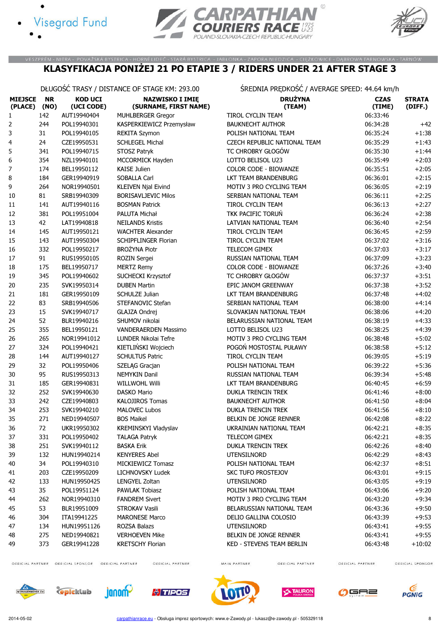





#### VESZPRÉM - NITRA - POVAŽSKÁ BYSTRICA - HORNÍ LIDEČ - STARÁ BYSTRICA - JABŁONKA - ZAPORA NIEDZICA - CIĘŻKOWICE - DĄBROWA TARNOWSKA - TARNÓW KLASYFIKACJA PONIŻEJ 21 PO ETAPIE 3 / RIDERS UNDER 21 AFTER STAGE 3

DŁUGOŚĆ TRASY / DISTANCE OF STAGE KM: 293.00 ŚREDNIA PRĘDKOŚĆ / AVERAGE SPEED: 44.64 km/h

| <b>MIEJSCE</b><br>(PLACE) (NO) | <b>NR</b> | <b>KOD UCI</b><br>(UCI CODE) | <b>NAZWISKO I IMIĘ</b><br>(SURNAME, FIRST NAME) | <b>DRUŻYNA</b><br>(TEAM)     | <b>CZAS</b><br>(TIME) | <b>STRATA</b><br>(DIFF.) |
|--------------------------------|-----------|------------------------------|-------------------------------------------------|------------------------------|-----------------------|--------------------------|
| 1                              | 142       | AUT19940404                  | <b>MUHLBERGER Gregor</b>                        | <b>TIROL CYCLIN TEAM</b>     | 06:33:46              |                          |
| 2                              | 244       | POL19940301                  | KASPERKIEWICZ Przemysław                        | <b>BAUKNECHT AUTHOR</b>      | 06:34:28              | $+42$                    |
| 3                              | 31        | POL19940105                  | <b>REKITA Szymon</b>                            | POLISH NATIONAL TEAM         | 06:35:24              | $+1:38$                  |
| 4                              | 24        | CZE19950531                  | <b>SCHLEGEL Michal</b>                          | CZECH REPUBLIC NATIONAL TEAM | 06:35:29              | $+1:43$                  |
| 5                              | 341       | POL19940715                  | STOSZ Patryk                                    | TC CHROBRY GŁOGÓW            | 06:35:30              | $+1:44$                  |
| 6                              | 354       | NZL19940101                  | MCCORMICK Hayden                                | LOTTO BELISOL U23            | 06:35:49              | $+2:03$                  |
| 7                              | 174       | BEL19950112                  | <b>KAISE Julien</b>                             | <b>COLOR CODE - BIOWANZE</b> | 06:35:51              | $+2:05$                  |
| 8                              | 184       | GER19940919                  | SOBALLA Carl                                    | LKT TEAM BRANDENBURG         | 06:36:01              | $+2:15$                  |
| 9                              | 264       | NOR19940501                  | <b>KLEIVEN Njal Eivind</b>                      | MOTIV 3 PRO CYCLING TEAM     | 06:36:05              | $+2:19$                  |
| 10                             | 81        | SRB19940309                  | <b>BORISAVLJEVIC Milos</b>                      | SERBIAN NATIONAL TEAM        | 06:36:11              | $+2:25$                  |
| 11                             | 141       | AUT19940116                  | <b>BOSMAN Patrick</b>                           | TIROL CYCLIN TEAM            | 06:36:13              | $+2:27$                  |
| 12                             | 381       | POL19951004                  | PALUTA Michał                                   | TKK PACIFIC TORUŃ            | 06:36:24              | $+2:38$                  |
| 13                             | 42        | LAT19940818                  | <b>NEILANDS Kristis</b>                         | LATVIAN NATIONAL TEAM        | 06:36:40              | $+2:54$                  |
| 14                             | 145       | AUT19950121                  | <b>WACHTER Alexander</b>                        | TIROL CYCLIN TEAM            | 06:36:45              | $+2:59$                  |
| 15                             | 143       | AUT19950304                  | <b>SCHIPFLINGER Florian</b>                     | TIROL CYCLIN TEAM            | 06:37:02              | $+3:16$                  |
| 16                             | 332       | POL19950217                  | <b>BROŻYNA Piotr</b>                            | TELECOM GIMEX                | 06:37:03              | $+3:17$                  |
| 17                             | 91        | RUS19950105                  | ROZIN Sergei                                    | RUSSIAN NATIONAL TEAM        | 06:37:09              | $+3:23$                  |
| 18                             | 175       | BEL19950717                  | <b>MERTZ Remy</b>                               | COLOR CODE - BIOWANZE        | 06:37:26              | $+3:40$                  |
| 19                             | 345       | POL19940602                  | SUCHECKI Krzysztof                              | TC CHROBRY GŁOGÓW            | 06:37:37              | $+3:51$                  |
| 20                             | 235       | SVK19950314                  | <b>DUBEN Martin</b>                             | EPIC JANOM GREENWAY          | 06:37:38              | $+3:52$                  |
| 21                             | 181       | GER19950109                  | SCHULZE Julian                                  | LKT TEAM BRANDENBURG         | 06:37:48              | $+4:02$                  |
| 22                             | 83        | SRB19940506                  | STEFANOVIC Stefan                               | SERBIAN NATIONAL TEAM        | 06:38:00              | $+4:14$                  |
| 23                             | 15        | SVK19940717                  | GLAJZA Ondrej                                   | SLOVAKIAN NATIONAL TEAM      | 06:38:06              | $+4:20$                  |
| 24                             | 52        | BLR19940216                  | SHUMOV nikolai                                  | BELARUSSIAN NATIONAL TEAM    | 06:38:19              | $+4:33$                  |
| 25                             | 355       | BEL19950121                  | VANDERAERDEN Massimo                            | LOTTO BELISOL U23            | 06:38:25              | $+4:39$                  |
| 26                             | 265       | NOR19941012                  | LUNDER Nikolai Tefre                            | MOTIV 3 PRO CYCLING TEAM     | 06:38:48              | $+5:02$                  |
| 27                             | 324       | POL19940421                  | KIETLIŃSKI Wojciech                             | POGOŃ MOSTOSTAL PUŁAWY       | 06:38:58              | $+5:12$                  |
| 28                             | 144       | AUT19940127                  | <b>SCHULTUS Patric</b>                          | TIROL CYCLIN TEAM            | 06:39:05              | $+5:19$                  |
| 29                             | 32        | POL19950406                  | SZELĄG Gracjan                                  | POLISH NATIONAL TEAM         | 06:39:22              | $+5:36$                  |
| 30                             | 95        | RUS19950313                  | NEMYKIN Danil                                   | RUSSIAN NATIONAL TEAM        | 06:39:34              | $+5:48$                  |
| 31                             | 185       | GER19940831                  | <b>WILLWOHL Willi</b>                           | LKT TEAM BRANDENBURG         | 06:40:45              | $+6:59$                  |
| 32                             | 252       | SVK19940630                  | <b>DASKO Mario</b>                              | <b>DUKLA TRENCIN TREK</b>    | 06:41:46              | $+8:00$                  |
| 33                             | 242       | CZE19940803                  | <b>KALOJIROS Tomas</b>                          | <b>BAUKNECHT AUTHOR</b>      | 06:41:50              | $+8:04$                  |
| 34                             | 253       | SVK19940210                  | <b>MALOVEC Lubos</b>                            | <b>DUKLA TRENCIN TREK</b>    | 06:41:56              | $+8:10$                  |
| 35                             | 271       | NED19940507                  | <b>BOS Maikel</b>                               | BELKIN DE JONGE RENNER       | 06:42:08              | $+8:22$                  |
| 36                             | 72        | UKR19950302                  | KREMINSKYI Vladyslav                            | UKRAINIAN NATIONAL TEAM      | 06:42:21              | $+8:35$                  |
| 37                             | 331       | POL19950402                  | <b>TALAGA Patryk</b>                            | TELECOM GIMEX                | 06:42:21              | $+8:35$                  |
| 38                             | 251       | SVK19940112                  | <b>BASKA Erik</b>                               | <b>DUKLA TRENCIN TREK</b>    | 06:42:26              | $+8:40$                  |
| 39                             | 132       | HUN19940214                  | <b>KENYERES Abel</b>                            | <b>UTENSILNORD</b>           | 06:42:29              | $+8:43$                  |
| 40                             | 34        | POL19940310                  | MICKIEWICZ Tomasz                               | POLISH NATIONAL TEAM         | 06:42:37              | $+8:51$                  |
| 41                             | 203       | CZE19950209                  | LICHNOVSKY Ludek                                | SKC TUFO PROSTEJOV           | 06:43:01              | $+9:15$                  |
| 42                             | 133       | HUN19950425                  | LENGYEL Zoltan                                  | UTENSILNORD                  | 06:43:05              | $+9:19$                  |
| 43                             | 35        | POL19951124                  | PAWLAK Tobiasz                                  | POLISH NATIONAL TEAM         | 06:43:06              | +9:20                    |
| 44                             | 262       | NOR19940310                  | <b>FANDREM Sivert</b>                           | MOTIV 3 PRO CYCLING TEAM     | 06:43:20              | $+9:34$                  |
| 45                             | 53        | BLR19951009                  | STROKAV Vasili                                  | BELARUSSIAN NATIONAL TEAM    | 06:43:36              | $+9:50$                  |
| 46                             | 304       | ITA19941225                  | <b>MARONESE Marco</b>                           | DELIO GALLINA COLOSIO        | 06:43:39              | $+9:53$                  |
| 47                             | 134       | HUN19951126                  | ROZSA Balazs                                    | UTENSILNORD                  | 06:43:41              | $+9:55$                  |
| 48                             | 275       | NED19940821                  | <b>VERHOEVEN Mike</b>                           | BELKIN DE JONGE RENNER       | 06:43:41              | $+9:55$                  |
| 49                             | 373       | GER19941228                  | <b>KRETSCHY Florian</b>                         | KED - STEVENS TEAM BERLIN    | 06:43:48              | $+10:02$                 |
|                                |           |                              |                                                 |                              |                       |                          |

OFFICIAL PARTNER OFFICIAL SPONSOR OFFICIAL PARTNER

OFFICIAL PARTNER

MAIN PARTNER

OFFICIAL PARTNER

OFFICIAL PARTNER













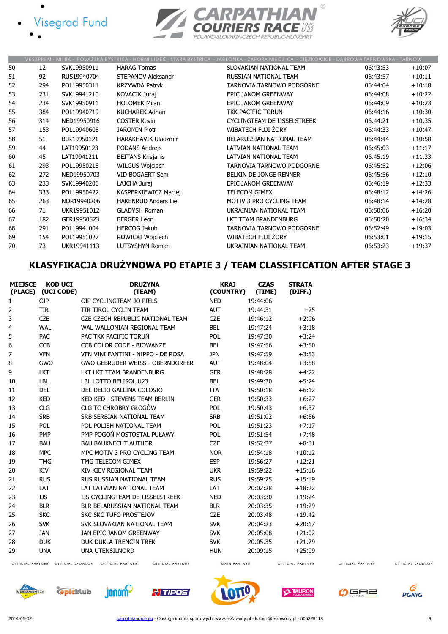







|    |     |             |                            | VESZPRÉM - NITRA - POVAŽSKÁ BYSTRICA - HORNÍ LIDEČ - STARÁ BYSTRICA - JABŁONKA - ZAPORA NIEDZICA - CIEŽKOWICE - DABROWA TARNOWSKA - TARNÓW |          |          |
|----|-----|-------------|----------------------------|--------------------------------------------------------------------------------------------------------------------------------------------|----------|----------|
| 50 | 12  | SVK19950911 | <b>HARAG Tomas</b>         | SLOVAKIAN NATIONAL TEAM                                                                                                                    | 06:43:53 | $+10:07$ |
| 51 | 92  | RUS19940704 | STEPANOV Aleksandr         | RUSSIAN NATIONAL TEAM                                                                                                                      | 06:43:57 | $+10:11$ |
| 52 | 294 | POL19950311 | <b>KRZYWDA Patryk</b>      | TARNOVIA TARNOWO PODGÓRNE                                                                                                                  | 06:44:04 | $+10:18$ |
| 53 | 231 | SVK19941210 | <b>KOVACIK Juraj</b>       | EPIC JANOM GREENWAY                                                                                                                        | 06:44:08 | $+10:22$ |
| 54 | 234 | SVK19950911 | <b>HOLOMEK Milan</b>       | EPIC JANOM GREENWAY                                                                                                                        | 06:44:09 | $+10:23$ |
| 55 | 384 | POL19940719 | <b>KUCHAREK Adrian</b>     | <b>TKK PACIFIC TORUŃ</b>                                                                                                                   | 06:44:16 | $+10:30$ |
| 56 | 314 | NED19950916 | <b>COSTER Kevin</b>        | CYCLINGTEAM DE IJSSELSTREEK                                                                                                                | 06:44:21 | $+10:35$ |
| 57 | 153 | POL19940608 | <b>JAROMIN Piotr</b>       | WIBATECH FUJI ŻORY                                                                                                                         | 06:44:33 | $+10:47$ |
| 58 | 51  | BLR19950121 | <b>HARAKHAVIK Uladzmir</b> | BELARUSSIAN NATIONAL TEAM                                                                                                                  | 06:44:44 | $+10:58$ |
| 59 | 44  | LAT19950123 | PODANS Andrejs             | LATVIAN NATIONAL TEAM                                                                                                                      | 06:45:03 | $+11:17$ |
| 60 | 45  | LAT19941211 | <b>BEITANS Krisjanis</b>   | LATVIAN NATIONAL TEAM                                                                                                                      | 06:45:19 | $+11:33$ |
| 61 | 293 | POL19950218 | <b>WILGUS Wojciech</b>     | TARNOVIA TARNOWO PODGÓRNE                                                                                                                  | 06:45:52 | $+12:06$ |
| 62 | 272 | NED19950703 | <b>VID BOGAERT Sem</b>     | BELKIN DE JONGE RENNER                                                                                                                     | 06:45:56 | $+12:10$ |
| 63 | 233 | SVK19940206 | LAJCHA Juraj               | EPIC JANOM GREENWAY                                                                                                                        | 06:46:19 | $+12:33$ |
| 64 | 333 | POL19950422 | KASPERKIEWICZ Maciej       | <b>TELECOM GIMEX</b>                                                                                                                       | 06:48:12 | $+14:26$ |
| 65 | 263 | NOR19940206 | <b>HAKENRUD Anders Lie</b> | MOTIV 3 PRO CYCLING TEAM                                                                                                                   | 06:48:14 | $+14:28$ |
| 66 | 71  | UKR19951012 | <b>GLADYSH Roman</b>       | UKRAINIAN NATIONAL TEAM                                                                                                                    | 06:50:06 | $+16:20$ |
| 67 | 182 | GER19950523 | <b>BERGER Leon</b>         | LKT TEAM BRANDENBURG                                                                                                                       | 06:50:20 | $+16:34$ |
| 68 | 291 | POL19941004 | <b>HERCOG Jakub</b>        | TARNOVIA TARNOWO PODGÓRNE                                                                                                                  | 06:52:49 | $+19:03$ |
| 69 | 154 | POL19951027 | ROWICKI Wojciech           | WIBATECH FUJI ŻORY                                                                                                                         | 06:53:01 | $+19:15$ |
| 70 | 73  | UKR19941113 | <b>LUTSYSHYN Roman</b>     | UKRAINIAN NATIONAL TEAM                                                                                                                    | 06:53:23 | $+19:37$ |

# KLASYFIKACJA DRUŻYNOWA PO ETAPIE 3 / TEAM CLASSIFICATION AFTER STAGE 3

| <b>MIEJSCE</b> | <b>KOD UCI</b><br>(PLACE) (UCI CODE) | <b>DRUŻYNA</b><br>(TEAM)               | <b>KRAJ</b><br>(COUNTRY) | <b>CZAS</b><br>(TIME) | <b>STRATA</b><br>(DIFF.) |
|----------------|--------------------------------------|----------------------------------------|--------------------------|-----------------------|--------------------------|
| 1              | <b>CJP</b>                           | CJP CYCLINGTEAM JO PIELS               | <b>NED</b>               | 19:44:06              |                          |
| 2              | TIR                                  | TIR TIROL CYCLIN TEAM                  | <b>AUT</b>               | 19:44:31              | $+25$                    |
| 3              | <b>CZE</b>                           | CZE CZECH REPUBLIC NATIONAL TEAM       | <b>CZE</b>               | 19:46:12              | $+2:06$                  |
| $\overline{4}$ | <b>WAL</b>                           | WAL WALLONIAN REGIONAL TEAM            | <b>BEL</b>               | 19:47:24              | $+3:18$                  |
| 5              | PAC                                  | PAC TKK PACIFIC TORUN                  | <b>POL</b>               | 19:47:30              | $+3:24$                  |
| 6              | <b>CCB</b>                           | CCB COLOR CODE - BIOWANZE              | <b>BEL</b>               | 19:47:56              | $+3:50$                  |
| $\overline{7}$ | <b>VFN</b>                           | VFN VINI FANTINI - NIPPO - DE ROSA     | <b>JPN</b>               | 19:47:59              | $+3:53$                  |
| 8              | GWO                                  | GWO GEBRUDER WEISS - OBERNDORFER       | <b>AUT</b>               | 19:48:04              | $+3:58$                  |
| 9              | <b>LKT</b>                           | LKT LKT TEAM BRANDENBURG               | <b>GER</b>               | 19:48:28              | $+4:22$                  |
| 10             | <b>LBL</b>                           | LBL LOTTO BELISOL U23                  | <b>BEL</b>               | 19:49:30              | $+5:24$                  |
| 11             | <b>DEL</b>                           | DEL DELIO GALLINA COLOSIO              | <b>ITA</b>               | 19:50:18              | $+6:12$                  |
| 12             | <b>KED</b>                           | <b>KED KED - STEVENS TEAM BERLIN</b>   | <b>GER</b>               | 19:50:33              | $+6:27$                  |
| 13             | <b>CLG</b>                           | CLG TC CHROBRY GŁOGÓW                  | <b>POL</b>               | 19:50:43              | $+6:37$                  |
| 14             | <b>SRB</b>                           | SRB SERBIAN NATIONAL TEAM              | <b>SRB</b>               | 19:51:02              | $+6:56$                  |
| 15             | <b>POL</b>                           | POL POLISH NATIONAL TEAM               | POL                      | 19:51:23              | $+7:17$                  |
| 16             | PMP                                  | PMP POGOŃ MOSTOSTAL PUŁAWY             | <b>POL</b>               | 19:51:54              | $+7:48$                  |
| 17             | <b>BAU</b>                           | <b>BAU BAUKNECHT AUTHOR</b>            | <b>CZE</b>               | 19:52:37              | $+8:31$                  |
| 18             | <b>MPC</b>                           | MPC MOTIV 3 PRO CYCLING TEAM           | <b>NOR</b>               | 19:54:18              | $+10:12$                 |
| 19             | <b>TMG</b>                           | TMG TELECOM GIMEX                      | <b>ESP</b>               | 19:56:27              | $+12:21$                 |
| 20             | KIV                                  | KIV KIEV REGIONAL TEAM                 | <b>UKR</b>               | 19:59:22              | $+15:16$                 |
| 21             | <b>RUS</b>                           | RUS RUSSIAN NATIONAL TEAM              | <b>RUS</b>               | 19:59:25              | $+15:19$                 |
| 22             | LAT                                  | LAT LATVIAN NATIONAL TEAM              | LAT                      | 20:02:28              | $+18:22$                 |
| 23             | IJS                                  | <b>IJS CYCLINGTEAM DE IJSSELSTREEK</b> | <b>NED</b>               | 20:03:30              | $+19:24$                 |
| 24             | <b>BLR</b>                           | BLR BELARUSSIAN NATIONAL TEAM          | <b>BLR</b>               | 20:03:35              | $+19:29$                 |
| 25             | <b>SKC</b>                           | SKC SKC TUFO PROSTFIOV                 | <b>CZE</b>               | 20:03:48              | $+19:42$                 |
| 26             | <b>SVK</b>                           | SVK SLOVAKIAN NATIONAL TEAM            | <b>SVK</b>               | 20:04:23              | $+20:17$                 |
| 27             | <b>JAN</b>                           | JAN EPIC JANOM GREENWAY                | <b>SVK</b>               | 20:05:08              | $+21:02$                 |
| 28             | <b>DUK</b>                           | DUK DUKLA TRENCIN TREK                 | <b>SVK</b>               | 20:05:35              | $+21:29$                 |
| 29             | <b>UNA</b>                           | <b>UNA UTENSILNORD</b>                 | <b>HUN</b>               | 20:09:15              | $+25:09$                 |

OFFICIAL PARTNER OFFICIAL SPONSOR OFFICIAL PARTNER

OFFICIAL PARTNER

MAIN PARTNER

OFFICIAL PARTNER

OFFICIAL PARTNER













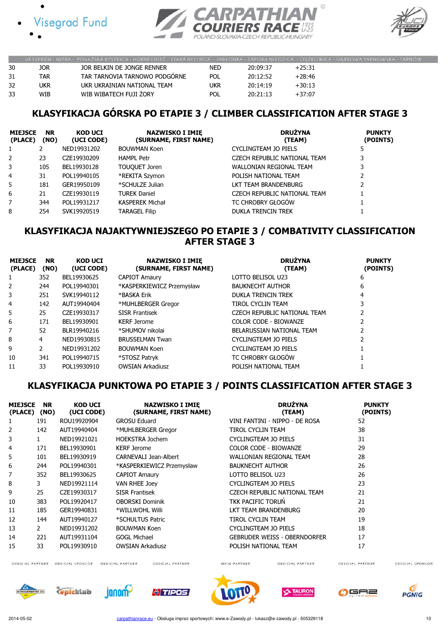





|    |     | VESZPRÉM - NITRA - POVAŽSKÁ BYSTRICA - HORNÍ LIDEČ - STARÁ BYSTRICA - JABŁONKA - ZAPORA NIEDZICA - CIEŻKOWICE - DABROWA TARNOWSKA - TARNÓ! |            |          |          |  |
|----|-----|--------------------------------------------------------------------------------------------------------------------------------------------|------------|----------|----------|--|
| 30 | jor | JOR BELKIN DE JONGE RENNER                                                                                                                 | <b>NED</b> | 20:09:37 | $+25:31$ |  |
| 31 | TAR | TAR TARNOVIA TARNOWO PODGÓRNE                                                                                                              | <b>POL</b> | 20:12:52 | $+28:46$ |  |
| 32 | ukr | UKR UKRAINIAN NATIONAL TEAM                                                                                                                | ukr        | 20:14:19 | $+30:13$ |  |
| 33 | WIB | WIB WIBATECH FUJI ZORY                                                                                                                     | <b>POL</b> | 20:21:13 | $+37:07$ |  |

# KLASYFIKACJA GÓRSKA PO ETAPIE 3 / CLIMBER CLASSIFICATION AFTER STAGE 3

| <b>MIEJSCE</b><br>(PLACE) | <b>NR</b><br>(NO) | <b>KOD UCI</b><br>(UCI CODE) | <b>NAZWISKO I IMIE</b><br>(SURNAME, FIRST NAME) | <b>DRUŻYNA</b><br>(TEAM)     | <b>PUNKTY</b><br>(POINTS) |
|---------------------------|-------------------|------------------------------|-------------------------------------------------|------------------------------|---------------------------|
|                           |                   | NED19931202                  | <b>BOUWMAN Koen</b>                             | CYCLINGTEAM JO PIELS         |                           |
| 2                         | 23                | CZE19930209                  | <b>HAMPL Petr</b>                               | CZECH REPUBLIC NATIONAL TEAM |                           |
| 3                         | 105               | BEL19930128                  | <b>TOUQUET Joren</b>                            | WALLONIAN REGIONAL TEAM      | 3                         |
| $\overline{4}$            | 31                | POL19940105                  | *REKITA Szymon                                  | POLISH NATIONAL TEAM         |                           |
| 5                         | 181               | GER19950109                  | *SCHULZE Julian                                 | LKT TEAM BRANDENBURG         |                           |
| 6                         | 21                | CZE19930119                  | <b>TUREK Daniel</b>                             | CZECH REPUBLIC NATIONAL TEAM |                           |
| 7                         | 344               | POL19931217                  | <b>KASPEREK Michał</b>                          | TC CHROBRY GŁOGÓW            |                           |
| 8                         | 254               | SVK19920519                  | <b>TARAGEL Filip</b>                            | <b>DUKLA TRENCIN TREK</b>    |                           |

#### KLASYFIKACJA NAJAKTYWNIEJSZEGO PO ETAPIE 3 / COMBATIVITY CLASSIFICATION AFTER STAGE 3

| <b>MIEJSCE</b><br>(PLACE) | <b>NR</b><br>(NO) | <b>KOD UCI</b><br>(UCI CODE) | <b>NAZWISKO I IMIE</b><br>(SURNAME, FIRST NAME) | <b>DRUŻYNA</b><br>(TEAM)     | <b>PUNKTY</b><br>(POINTS) |
|---------------------------|-------------------|------------------------------|-------------------------------------------------|------------------------------|---------------------------|
|                           | 352               | BEL19930625                  | <b>CAPIOT Amaury</b>                            | LOTTO BELISOL U23            | 6                         |
| 2                         | 244               | POL19940301                  | *KASPERKIEWICZ Przemysław                       | <b>BAUKNECHT AUTHOR</b>      | 6                         |
| 3                         | 251               | SVK19940112                  | *BASKA Erik                                     | <b>DUKLA TRENCIN TREK</b>    | 4                         |
| 4                         | 142               | AUT19940404                  | *MUHLBERGER Gregor                              | TIROL CYCLIN TEAM            |                           |
| 5                         | 25                | CZE19930317                  | <b>SISR Frantisek</b>                           | CZECH REPUBLIC NATIONAL TEAM |                           |
| 6                         | 171               | BEL19930901                  | <b>KERF Jerome</b>                              | COLOR CODE - BIOWANZE        |                           |
| 7                         | 52                | BLR19940216                  | *SHUMOV nikolai                                 | BELARUSSIAN NATIONAL TEAM    |                           |
| 8                         | 4                 | NED19930815                  | <b>BRUSSELMAN Twan</b>                          | CYCLINGTEAM JO PIELS         |                           |
| 9                         |                   | NED19931202                  | <b>BOUWMAN Koen</b>                             | CYCLINGTEAM JO PIELS         |                           |
| 10                        | 341               | POL19940715                  | *STOSZ Patryk                                   | TC CHROBRY GŁOGÓW            |                           |
| 11                        | 33                | POL19930910                  | <b>OWSIAN Arkadiusz</b>                         | POLISH NATIONAL TEAM         |                           |

#### KLASYFIKACJA PUNKTOWA PO ETAPIE 3 / POINTS CLASSIFICATION AFTER STAGE 3

| <b>MIEJSCE</b><br>(PLACE) | <b>NR</b><br>(NO) | <b>KOD UCI</b><br>(UCI CODE) | <b>NAZWISKO I IMIE</b><br>(SURNAME, FIRST NAME) | <b>DRUŻYNA</b><br>(TEAM)            | <b>PUNKTY</b><br>(POINTS) |
|---------------------------|-------------------|------------------------------|-------------------------------------------------|-------------------------------------|---------------------------|
|                           | 191               | ROU19920904                  | <b>GROSU Eduard</b>                             | VINI FANTINI - NIPPO - DE ROSA      | 52                        |
| 2                         | 142               | AUT19940404                  | *MUHLBERGER Gregor                              | TIROL CYCLIN TEAM                   | 38                        |
| 3                         |                   | NED19921021                  | <b>HOEKSTRA Jochem</b>                          | CYCLINGTEAM JO PIELS                | 31                        |
| 4                         | 171               | BEL19930901                  | <b>KERF Jerome</b>                              | COLOR CODE - BIOWANZE               | 29                        |
| 5                         | 101               | BEL19930919                  | CARNEVALI Jean-Albert                           | <b>WALLONIAN REGIONAL TEAM</b>      | 28                        |
| 6                         | 244               | POL19940301                  | *KASPERKIEWICZ Przemysław                       | <b>BAUKNECHT AUTHOR</b>             | 26                        |
|                           | 352               | BEL19930625                  | <b>CAPIOT Amaury</b>                            | LOTTO BELISOL U23                   | 26                        |
| 8                         | 3                 | NED19921114                  | <b>VAN RHEE Joey</b>                            | CYCLINGTEAM JO PIELS                | 23                        |
| 9                         | 25                | CZE19930317                  | <b>SISR Frantisek</b>                           | CZECH REPUBLIC NATIONAL TEAM        | 21                        |
| 10                        | 383               | POL19920417                  | <b>OBORSKI Dominik</b>                          | TKK PACIFIC TORUN                   | 21                        |
| 11                        | 185               | GER19940831                  | *WILLWOHL Willi                                 | LKT TEAM BRANDENBURG                | 20                        |
| 12                        | 144               | AUT19940127                  | *SCHULTUS Patric                                | TIROL CYCLIN TEAM                   | 19                        |
| 13                        | $\overline{2}$    | NED19931202                  | <b>BOUWMAN Koen</b>                             | CYCLINGTEAM JO PIELS                | 18                        |
| 14                        | 221               | AUT19931104                  | <b>GOGL Michael</b>                             | <b>GEBRUDER WEISS - OBERNDORFER</b> | 17                        |
| 15                        | 33                | POL19930910                  | <b>OWSIAN Arkadiusz</b>                         | POLISH NATIONAL TEAM                | 17                        |

OFFICIAL PARTNER OFFICIAL SPONSOR OFFICIAL PARTNER

OFFICIAL PARTNER

MAIN PARTNER

OFFICIAL PARTNER

OFFICIAL SPONSOR











OFFICIAL PARTNER

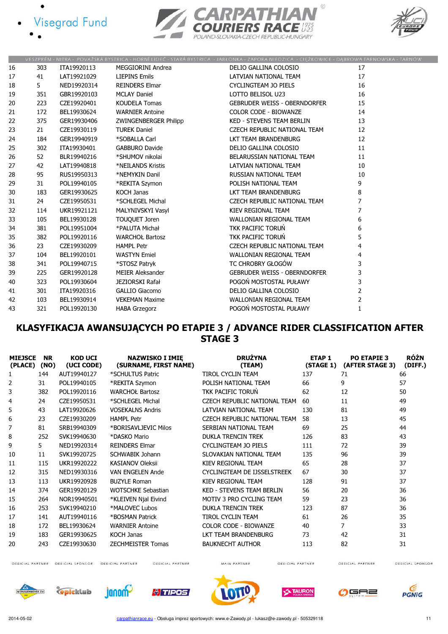![](_page_10_Figure_0.jpeg)

![](_page_10_Picture_2.jpeg)

![](_page_10_Figure_3.jpeg)

|    |     |             |                        | VESZPRÉM - NITRA - POVAŻSKÁ BYSTRICA - HORNÍ LIDEČ - STARÁ BYSTRICA - JABŁONKA - ZAPORA NIEDZICA - CIĘŻKOWICE - DĄBROWA TARNOWSKA - TARNÓW |                |  |
|----|-----|-------------|------------------------|--------------------------------------------------------------------------------------------------------------------------------------------|----------------|--|
| 16 | 303 | ITA19920113 | MEGGIORINI Andrea      | DELIO GALLINA COLOSIO                                                                                                                      | 17             |  |
| 17 | 41  | LAT19921029 | <b>LIEPINS Emils</b>   | LATVIAN NATIONAL TEAM                                                                                                                      | 17             |  |
| 18 | 5.  | NED19920314 | <b>REINDERS Elmar</b>  | CYCLINGTEAM JO PIELS                                                                                                                       | 16             |  |
| 19 | 351 | GBR19920103 | <b>MCLAY Daniel</b>    | LOTTO BELISOL U23                                                                                                                          | 16             |  |
| 20 | 223 | CZE19920401 | <b>KOUDELA Tomas</b>   | GEBRUDER WEISS - OBERNDORFER                                                                                                               | 15             |  |
| 21 | 172 | BEL19930624 | <b>WARNIER Antoine</b> | <b>COLOR CODE - BIOWANZE</b>                                                                                                               | 14             |  |
| 22 | 375 | GER19930406 | ZWINGENBERGER Philipp  | KED - STEVENS TEAM BERLIN                                                                                                                  | 13             |  |
| 23 | 21  | CZE19930119 | <b>TUREK Daniel</b>    | CZECH REPUBLIC NATIONAL TEAM                                                                                                               | 12             |  |
| 24 | 184 | GER19940919 | *SOBALLA Carl          | LKT TEAM BRANDENBURG                                                                                                                       | 12             |  |
| 25 | 302 | ITA19930401 | <b>GABBURO Davide</b>  | DELIO GALLINA COLOSIO                                                                                                                      | 11             |  |
| 26 | 52  | BLR19940216 | *SHUMOV nikolai        | BELARUSSIAN NATIONAL TEAM                                                                                                                  | 11             |  |
| 27 | 42  | LAT19940818 | *NEILANDS Kristis      | LATVIAN NATIONAL TEAM                                                                                                                      | 10             |  |
| 28 | 95  | RUS19950313 | *NEMYKIN Danil         | <b>RUSSIAN NATIONAL TEAM</b>                                                                                                               | 10             |  |
| 29 | 31  | POL19940105 | *REKITA Szymon         | POLISH NATIONAL TEAM                                                                                                                       | 9              |  |
| 30 | 183 | GER19930625 | <b>KOCH Janas</b>      | LKT TEAM BRANDENBURG                                                                                                                       | 8              |  |
| 31 | 24  | CZE19950531 | *SCHLEGEL Michal       | CZECH REPUBLIC NATIONAL TEAM                                                                                                               | $\overline{7}$ |  |
| 32 | 114 | UKR19921121 | MALYNIVSKYI Vasyl      | KIEV REGIONAL TEAM                                                                                                                         | $\overline{7}$ |  |
| 33 | 105 | BEL19930128 | TOUQUET Joren          | WALLONIAN REGIONAL TEAM                                                                                                                    | 6              |  |
| 34 | 381 | POL19951004 | *PALUTA Michał         | TKK PACIFIC TORUŃ                                                                                                                          | 6              |  |
| 35 | 382 | POL19920116 | <b>WARCHOŁ Bartosz</b> | <b>TKK PACIFIC TORUN</b>                                                                                                                   | 5              |  |
| 36 | 23  | CZE19930209 | <b>HAMPL Petr</b>      | CZECH REPUBLIC NATIONAL TEAM                                                                                                               | 4              |  |
| 37 | 104 | BEL19920101 | <b>WASTYN Emiel</b>    | <b>WALLONIAN REGIONAL TEAM</b>                                                                                                             | 4              |  |
| 38 | 341 | POL19940715 | *STOSZ Patryk          | TC CHROBRY GŁOGÓW                                                                                                                          | 3              |  |
| 39 | 225 | GER19920128 | MEIER Aleksander       | GEBRUDER WEISS - OBERNDORFER                                                                                                               | 3              |  |
| 40 | 323 | POL19930604 | JEZIORSKI Rafał        | POGOŃ MOSTOSTAL PUŁAWY                                                                                                                     | 3              |  |
| 41 | 301 | ITA19920316 | GALLIO Giacomo         | DELIO GALLINA COLOSIO                                                                                                                      | $\overline{2}$ |  |
| 42 | 103 | BEL19930914 | <b>VEKEMAN Maxime</b>  | WALLONIAN REGIONAL TEAM                                                                                                                    | $\overline{2}$ |  |
| 43 | 321 | POL19920130 | <b>HABA Grzegorz</b>   | POGOŃ MOSTOSTAL PUŁAWY                                                                                                                     | $\mathbf{1}$   |  |

### KLASYFIKACJA AWANSUJĄCYCH PO ETAPIE 3 / ADVANCE RIDER CLASSIFICATION AFTER STAGE 3

| <b>MIEJSCE</b><br>(PLACE) | <b>NR</b><br>(NO) | <b>KOD UCI</b><br>(UCI CODE) | <b>NAZWISKO I IMIE</b><br>(SURNAME, FIRST NAME) | <b>DRUŻYNA</b><br>(TEAM)         | <b>ETAP 1</b><br>(STAGE 1) | <b>PO ETAPIE 3</b><br>(AFTER STAGE 3) | <b>RÓŻN</b><br>(DIFF.) |
|---------------------------|-------------------|------------------------------|-------------------------------------------------|----------------------------------|----------------------------|---------------------------------------|------------------------|
| 1                         | 144               | AUT19940127                  | *SCHULTUS Patric                                | <b>TIROL CYCLIN TEAM</b>         | 137                        | 71                                    | 66                     |
| 2                         | 31                | POL19940105                  | *REKITA Szymon                                  | POLISH NATIONAL TEAM             | 66                         | 9                                     | 57                     |
| 3                         | 382               | POL19920116                  | <b>WARCHOŁ Bartosz</b>                          | TKK PACIFIC TORUN                | 62                         | 12                                    | 50                     |
| 4                         | 24                | CZE19950531                  | *SCHLEGEL Michal                                | CZECH REPUBLIC NATIONAL TEAM     | 60                         | 11                                    | 49                     |
| 5                         | 43                | LAT19920626                  | <b>VOSEKALNS Andris</b>                         | LATVIAN NATIONAL TEAM            | 130                        | 81                                    | 49                     |
| 6                         | 23                | CZE19930209                  | <b>HAMPL Petr</b>                               | CZECH REPUBLIC NATIONAL TEAM     | 58                         | 13                                    | 45                     |
| 7                         | 81                | SRB19940309                  | *BORISAVLJEVIC Milos                            | SERBIAN NATIONAL TEAM            | 69                         | 25                                    | 44                     |
| 8                         | 252               | SVK19940630                  | *DASKO Mario                                    | <b>DUKLA TRENCIN TREK</b>        | 126                        | 83                                    | 43                     |
| 9                         | 5                 | NED19920314                  | <b>REINDERS Elmar</b>                           | <b>CYCLINGTEAM JO PIELS</b>      | 111                        | 72                                    | 39                     |
| 10                        | 11                | SVK19920725                  | <b>SCHWABIK Johann</b>                          | SLOVAKIAN NATIONAL TEAM          | 135                        | 96                                    | 39                     |
| 11                        | 115               | UKR19920222                  | <b>KASIANOV Oleksii</b>                         | KIEV REGIONAL TEAM               | 65                         | 28                                    | 37                     |
| 12                        | 315               | NED19930316                  | <b>VAN ENGELEN Ande</b>                         | CYCLINGTEAM DE IJSSELSTREEK      | 67                         | 30                                    | 37                     |
| 13                        | 113               | UKR19920928                  | <b>BUZYLE Roman</b>                             | KIEV REGIONAL TEAM               | 128                        | 91                                    | 37                     |
| 14                        | 374               | GER19920129                  | <b>WOTSCHKE Sebastian</b>                       | <b>KED - STEVENS TEAM BERLIN</b> | 56                         | 20                                    | 36                     |
| 15                        | 264               | NOR19940501                  | *KLEIVEN Njal Eivind                            | MOTIV 3 PRO CYCLING TEAM         | 59                         | 23                                    | 36                     |
| 16                        | 253               | SVK19940210                  | *MALOVEC Lubos                                  | <b>DUKLA TRENCIN TREK</b>        | 123                        | 87                                    | 36                     |
| 17                        | 141               | AUT19940116                  | *BOSMAN Patrick                                 | <b>TIROL CYCLIN TEAM</b>         | 61                         | 26                                    | 35                     |
| 18                        | 172               | BEL19930624                  | <b>WARNIER Antoine</b>                          | <b>COLOR CODE - BIOWANZE</b>     | 40                         | 7                                     | 33                     |
| 19                        | 183               | GER19930625                  | <b>KOCH Janas</b>                               | LKT TEAM BRANDENBURG             | 73                         | 42                                    | 31                     |
| 20                        | 243               | CZE19930630                  | <b>ZECHMEISTER Tomas</b>                        | <b>BAUKNECHT AUTHOR</b>          | 113                        | 82                                    | 31                     |

OFFICIAL PARTNER OFFICIAL SPONSOR OFFICIAL PARTNER

OFFICIAL PARTNER

MAIN PARTNER

OFFICIAL PARTNER

OFFICIAL PARTNER OFFICIAL SPONSOR

![](_page_10_Picture_12.jpeg)

![](_page_10_Picture_13.jpeg)

![](_page_10_Picture_14.jpeg)

![](_page_10_Picture_15.jpeg)

![](_page_10_Picture_16.jpeg)

![](_page_10_Picture_17.jpeg)

![](_page_10_Picture_18.jpeg)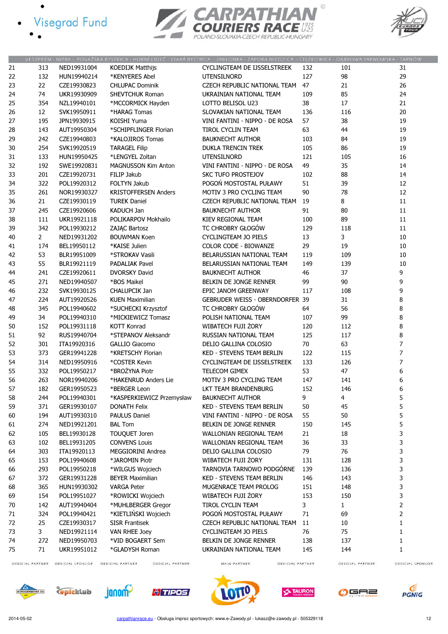- · Visegrad Fund
	-

![](_page_11_Picture_2.jpeg)

![](_page_11_Figure_3.jpeg)

|    |                |             |                             | VESZPREM - NITRA - POVAZSKA BYSTRICA - HORNI LIDEC - STARA BYSTRICA - JABŁONKA - ZAPORA NIEDZICA - CIĘZKOWICE - DĄBROWA TARNOWSKA - TARNOW |     |              |                |
|----|----------------|-------------|-----------------------------|--------------------------------------------------------------------------------------------------------------------------------------------|-----|--------------|----------------|
| 21 | 313            | NED19931004 | <b>KOEDIJK Matthijs</b>     | CYCLINGTEAM DE IJSSELSTREEK                                                                                                                | 132 | 101          | 31             |
| 22 | 132            | HUN19940214 | *KENYERES Abel              | <b>UTENSILNORD</b>                                                                                                                         | 127 | 98           | 29             |
| 23 | 22             | CZE19930823 | <b>CHLUPAC Dominik</b>      | CZECH REPUBLIC NATIONAL TEAM                                                                                                               | 47  | 21           | 26             |
| 24 | 74             | UKR19930909 | SHEVTCHUK Roman             | UKRAINIAN NATIONAL TEAM                                                                                                                    | 109 | 85           | 24             |
| 25 | 354            | NZL19940101 | *MCCORMICK Hayden           | LOTTO BELISOL U23                                                                                                                          | 38  | 17           | 21             |
| 26 | 12             | SVK19950911 | *HARAG Tomas                | SLOVAKIAN NATIONAL TEAM                                                                                                                    | 136 | 116          | 20             |
| 27 | 195            | JPN19930915 | KOISHI Yuma                 | VINI FANTINI - NIPPO - DE ROSA                                                                                                             | 57  | 38           | 19             |
| 28 | 143            | AUT19950304 | *SCHIPFLINGER Florian       | TIROL CYCLIN TEAM                                                                                                                          | 63  | 44           | 19             |
| 29 | 242            | CZE19940803 | *KALOJIROS Tomas            | <b>BAUKNECHT AUTHOR</b>                                                                                                                    | 103 | 84           | 19             |
| 30 | 254            | SVK19920519 | <b>TARAGEL Filip</b>        | <b>DUKLA TRENCIN TREK</b>                                                                                                                  | 105 | 86           | 19             |
| 31 | 133            | HUN19950425 | *LENGYEL Zoltan             | <b>UTENSILNORD</b>                                                                                                                         | 121 | 105          | 16             |
| 32 | 192            | SWE19920831 | <b>MAGNUSSON Kim Anton</b>  | VINI FANTINI - NIPPO - DE ROSA                                                                                                             | 49  | 35           | 14             |
| 33 | 201            | CZE19920731 | FILIP Jakub                 | <b>SKC TUFO PROSTEJOV</b>                                                                                                                  | 102 | 88           | 14             |
| 34 | 322            | POL19920312 | FOLTYN Jakub                | POGOŃ MOSTOSTAL PUŁAWY                                                                                                                     | 51  | 39           | 12             |
| 35 | 261            | NOR19930327 | <b>KRISTOFFERSEN Anders</b> | MOTIV 3 PRO CYCLING TEAM                                                                                                                   | 90  | 78           | 12             |
| 36 | 21             | CZE19930119 | <b>TUREK Daniel</b>         | CZECH REPUBLIC NATIONAL TEAM                                                                                                               | 19  | 8            | 11             |
| 37 | 245            | CZE19920606 | <b>KADUCH Jan</b>           | <b>BAUKNECHT AUTHOR</b>                                                                                                                    | 91  | 80           | 11             |
| 38 | 111            | UKR19921118 | POLIKARPOV Mokhailo         | KIEV REGIONAL TEAM                                                                                                                         | 100 | 89           | 11             |
| 39 | 342            | POL19930212 | ZAJĄC Bartosz               | TC CHROBRY GŁOGÓW                                                                                                                          | 129 | 118          | 11             |
| 40 | $\overline{2}$ | NED19931202 | <b>BOUWMAN Koen</b>         | <b>CYCLINGTEAM JO PIELS</b>                                                                                                                | 13  | 3            | 10             |
| 41 | 174            | BEL19950112 | *KAISE Julien               | <b>COLOR CODE - BIOWANZE</b>                                                                                                               | 29  | 19           | 10             |
| 42 | 53             | BLR19951009 | *STROKAV Vasili             | BELARUSSIAN NATIONAL TEAM                                                                                                                  | 119 | 109          | 10             |
| 43 | 55             | BLR19921119 | <b>PADALIAK Pavel</b>       | BELARUSSIAN NATIONAL TEAM                                                                                                                  | 149 | 139          | 10             |
| 44 | 241            | CZE19920611 | <b>DVORSKY David</b>        | <b>BAUKNECHT AUTHOR</b>                                                                                                                    | 46  | 37           | 9              |
| 45 | 271            | NED19940507 | *BOS Maikel                 | BELKIN DE JONGE RENNER                                                                                                                     | 99  | 90           | 9              |
| 46 | 232            | SVK19930125 | <b>CHALUPCIK Jan</b>        | EPIC JANOM GREENWAY                                                                                                                        | 117 | 108          | 9              |
| 47 | 224            | AUT19920526 | <b>KUEN Maximilian</b>      | <b>GEBRUDER WEISS - OBERNDORFER 39</b>                                                                                                     |     | 31           | 8              |
| 48 | 345            | POL19940602 | *SUCHECKI Krzysztof         | TC CHROBRY GŁOGÓW                                                                                                                          | 64  | 56           | 8              |
| 49 | 34             | POL19940310 | *MICKIEWICZ Tomasz          | POLISH NATIONAL TEAM                                                                                                                       | 107 | 99           | 8              |
| 50 | 152            | POL19931118 | <b>KOTT Konrad</b>          | WIBATECH FUJI ŻORY                                                                                                                         | 120 | 112          | 8              |
| 51 | 92             | RUS19940704 | *STEPANOV Aleksandr         | RUSSIAN NATIONAL TEAM                                                                                                                      | 125 | 117          | 8              |
| 52 | 301            | ITA19920316 | <b>GALLIO Giacomo</b>       | DELIO GALLINA COLOSIO                                                                                                                      | 70  | 63           | 7              |
| 53 | 373            | GER19941228 | *KRETSCHY Florian           | KED - STEVENS TEAM BERLIN                                                                                                                  | 122 | 115          | 7              |
| 54 | 314            | NED19950916 | *COSTER Kevin               | CYCLINGTEAM DE IJSSELSTREEK                                                                                                                | 133 | 126          | 7              |
| 55 | 332            | POL19950217 | *BROŻYNA Piotr              | TELECOM GIMEX                                                                                                                              | 53  | 47           | 6              |
| 56 | 263            | NOR19940206 | *HAKENRUD Anders Lie        | MOTIV 3 PRO CYCLING TEAM                                                                                                                   | 147 | 141          | 6              |
| 57 | 182            | GER19950523 | *BERGER Leon                | LKT TEAM BRANDENBURG                                                                                                                       | 152 | 146          | 6              |
| 58 | 244            | POL19940301 | *KASPERKIEWICZ Przemysław   | <b>BAUKNECHT AUTHOR</b>                                                                                                                    | 9   | 4            | 5              |
| 59 | 371            | GER19930107 | DONATH Felix                | <b>KED - STEVENS TEAM BERLIN</b>                                                                                                           | 50  | 45           | 5              |
| 60 | 194            | AUT19930310 | <b>PAULUS Daniel</b>        | VINI FANTINI - NIPPO - DE ROSA                                                                                                             | 55  | 50           | 5              |
| 61 | 274            | NED19921201 | <b>BAL Tom</b>              | BELKIN DE JONGE RENNER                                                                                                                     | 150 | 145          | 5              |
| 62 | 105            | BEL19930128 | TOUQUET Joren               | WALLONIAN REGIONAL TEAM                                                                                                                    | 21  | 18           | 3              |
| 63 | 102            | BEL19931205 | <b>CONVENS Louis</b>        | WALLONIAN REGIONAL TEAM                                                                                                                    | 36  | 33           | 3              |
| 64 | 303            | ITA19920113 | MEGGIORINI Andrea           | DELIO GALLINA COLOSIO                                                                                                                      | 79  | 76           | 3              |
| 65 | 153            | POL19940608 | *JAROMIN Piotr              | WIBATECH FUJI ŻORY                                                                                                                         | 131 | 128          | 3              |
| 66 | 293            | POL19950218 | *WILGUS Wojciech            | TARNOVIA TARNOWO PODGÓRNE                                                                                                                  | 139 | 136          | 3              |
| 67 | 372            | GER19931228 | <b>BEYER Maximilian</b>     | KED - STEVENS TEAM BERLIN                                                                                                                  | 146 | 143          | 3              |
| 68 | 365            | HUN19930302 | <b>VARGA Peter</b>          | MUGENRACE TEAM PROLOG                                                                                                                      | 151 | 148          | 3              |
| 69 | 154            | POL19951027 | *ROWICKI Wojciech           | WIBATECH FUJI ŻORY                                                                                                                         | 153 | 150          | 3              |
| 70 | 142            | AUT19940404 | *MUHLBERGER Gregor          | TIROL CYCLIN TEAM                                                                                                                          | 3   | $\mathbf{1}$ | $\overline{2}$ |
| 71 | 324            | POL19940421 | *KIETLIŃSKI Wojciech        | POGOŃ MOSTOSTAL PUŁAWY                                                                                                                     | 71  | 69           | $\overline{2}$ |
| 72 | 25             | CZE19930317 | <b>SISR Frantisek</b>       | CZECH REPUBLIC NATIONAL TEAM                                                                                                               | 11  | 10           | 1              |
| 73 | 3              | NED19921114 | VAN RHEE Joey               | CYCLINGTEAM JO PIELS                                                                                                                       | 76  | 75           | 1              |
| 74 | 272            | NED19950703 | *VID BOGAERT Sem            | BELKIN DE JONGE RENNER                                                                                                                     | 138 | 137          | 1              |
| 75 | 71             | UKR19951012 | *GLADYSH Roman              | UKRAINIAN NATIONAL TEAM                                                                                                                    | 145 | 144          | 1              |
|    |                |             |                             |                                                                                                                                            |     |              |                |

OFFICIAL PARTNER OFFICIAL SPONSOR OFFICIAL PARTNER

OFFICIAL PARTNER

MAIN PARTNER OFFICIAL PARTNER OFFICIAL PARTNER

![](_page_11_Picture_10.jpeg)

![](_page_11_Picture_11.jpeg)

![](_page_11_Picture_12.jpeg)

![](_page_11_Picture_13.jpeg)

![](_page_11_Picture_14.jpeg)

![](_page_11_Picture_15.jpeg)

![](_page_11_Picture_16.jpeg)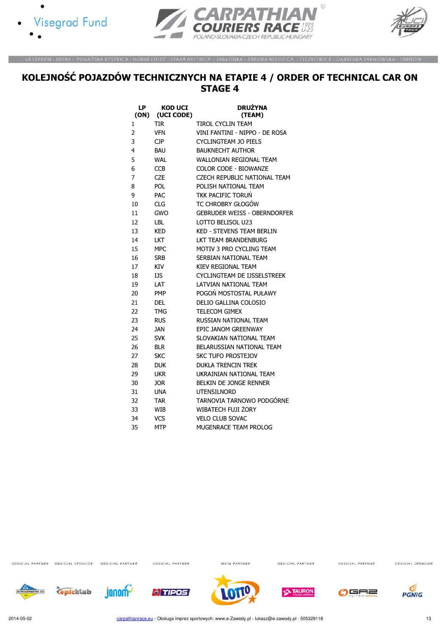![](_page_12_Picture_0.jpeg)

![](_page_12_Picture_1.jpeg)

![](_page_12_Picture_2.jpeg)

.<br>VESZPRÉM - NITRA - POVAŽSKÁ BYSTRICA - HORNÍ LIDEČ - STARÁ BYSTRICA - JABŁONKA - ZAPORA NIEDZICA - CIĘŻKOWICE - DĄBROWA TARNOWSKA - TARNÓW

# KOLEJNOŚĆ POJAZDÓW TECHNICZNYCH NA ETAPIE 4 / ORDER OF TECHNICAL CAR ON STAGE 4

| LP   | <b>KOD UCI</b> | <b>DRUŽYNA</b>                      |
|------|----------------|-------------------------------------|
| (ON) | (UCI CODE)     | (TEAM)                              |
| 1    | tir            | TIROL CYCLIN TEAM                   |
| 2    | <b>VFN</b>     | VINI FANTINI - NIPPO - DE ROSA      |
| 3    | CJP.           | <b>CYCLINGTEAM JO PIELS</b>         |
| 4    | <b>BAU</b>     | <b>BAUKNECHT AUTHOR</b>             |
| 5    | <b>WAL</b>     | <b>WALLONIAN REGIONAL TEAM</b>      |
| 6    | <b>CCB</b>     | <b>COLOR CODE - BIOWANZE</b>        |
| 7    | <b>CZE</b>     | CZECH REPUBLIC NATIONAL TEAM        |
| 8    | <b>POL</b>     | POLISH NATIONAL TEAM                |
| 9    | <b>PAC</b>     | <b>TKK PACIFIC TORUŃ</b>            |
| 10   | <b>CLG</b>     | TC CHROBRY GŁOGÓW                   |
| 11   | GWO            | <b>GEBRUDER WEISS - OBERNDORFER</b> |
| 12   | LBL            | LOTTO BELISOL U23                   |
| 13   | <b>KED</b>     | <b>KED - STEVENS TEAM BERLIN</b>    |
| 14   | LKT            | LKT TEAM BRANDENBURG                |
| 15   | MPC.           | MOTIV 3 PRO CYCLING TEAM            |
| 16   | <b>SRB</b>     | SERBIAN NATIONAL TEAM               |
| 17   | KIV            | KIFV RFGIONAL TFAM                  |
| 18   | IJS            | CYCLINGTEAM DE IJSSELSTREEK         |
| 19   | LAT            | LATVIAN NATIONAL TEAM               |
| 20   | PMP            | POGOŃ MOSTOSTAL PUŁAWY              |
| 21   | DEL            | DELIO GALLINA COLOSIO               |
| 22   | TMG            | <b>TELECOM GIMEX</b>                |
| 23   | rus            | RUSSIAN NATIONAL TEAM               |
| 24   | JAN            | EPIC JANOM GREENWAY                 |
| 25   | SVK            | SLOVAKIAN NATIONAL TEAM             |
| 26   | <b>BLR</b>     | BELARUSSIAN NATIONAL TEAM           |
| 27   | SKC            | <b>SKC TUFO PROSTEJOV</b>           |
| 28   | <b>DUK</b>     | DUKLA TRENCIN TREK                  |
| 29   | UKR            | UKRAINIAN NATIONAL TEAM             |
| 30   | <b>JOR</b>     | <b>BELKIN DE JONGE RENNER</b>       |
| 31   | <b>UNA</b>     | <b>UTENSILNORD</b>                  |
| 32   | <b>TAR</b>     | TARNOVIA TARNOWO PODGÓRNE           |
| 33   | WIB            | <b>WIBATECH FUJI ŻORY</b>           |
| 34   | VCS            | <b>VELO CLUB SOVAC</b>              |
| 35   | <b>MTP</b>     | MUGENRACE TEAM PROLOG               |

OFFICIAL PARTNER OFFICIAL SPONSOR OFFICIAL PARTNER

OFFICIAL PARTNER

MAIN PARTNER

OFFICIAL PARTNER

OFFICIAL PARTNER

OFFICIAL SPONSOR

![](_page_12_Picture_13.jpeg)

**C**picklub

![](_page_12_Picture_15.jpeg)

![](_page_12_Picture_16.jpeg)

![](_page_12_Picture_17.jpeg)

![](_page_12_Picture_18.jpeg)

![](_page_12_Picture_19.jpeg)

![](_page_12_Picture_20.jpeg)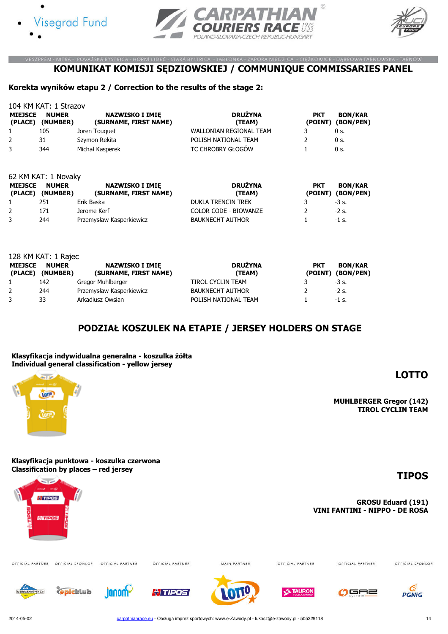![](_page_13_Picture_0.jpeg)

62 KM KAT: 1 Novaky

![](_page_13_Picture_1.jpeg)

![](_page_13_Picture_2.jpeg)

BON/KAR

#### VESZPRÉM - NITRA - POVAŽSKÁ BYSTRICA - HORNÍ LIDEČ - STARÁ BYSTRICA - JABŁONKA - ZAPORA NIEDZICA - CIĘŻKOWICE - DĄBROWA TARNOWSKA - TARNÓW KOMUNIKAT KOMISJI SĘDZIOWSKIEJ / COMMUNIQUE COMMISSARIES PANEL

#### Korekta wyników etapu 2 / Correction to the results of the stage 2:

104 KM KAT: 1 Strazov MIEJSCE NUMER (PLACE) (NUMBER) NAZWISKO I IMIĘ (SURNAME, FIRST NAME) DRUŻYNA (TEAM) **PKT** (POINT) (BON/PEN) 1 105 Joren Touquet 10 WALLONIAN REGIONAL TEAM 3 0 s. 2 31 Szymon Rekita **POLISH NATIONAL TEAM** 2 0 s. 3 344 Michał Kasperek TC CHROBRY GŁOGÓW 1 0 s.

| MIEJSCE NUMER<br>(PLACE) (NUMBER) | <b>NAZWISKO I IMIE</b><br>(SURNAME, FIRST NAME) | <b>DRUŻYNA</b><br>(TEAM)     | <b>PKT</b> | <b>BON/KAR</b><br>(POINT) (BON/PEN) |
|-----------------------------------|-------------------------------------------------|------------------------------|------------|-------------------------------------|
| 251                               | Erik Baska                                      | <b>DUKLA TRENCIN TREK</b>    |            | $-3$ s.                             |
| 171                               | Jerome Kerf                                     | <b>COLOR CODE - BIOWANZE</b> |            | $-2$ s.                             |
| 244                               | Przemysław Kasperkiewicz                        | <b>BAUKNECHT AUTHOR</b>      |            | $-1$ s.                             |
|                                   |                                                 |                              |            |                                     |

| 128 KM KAT: 1 Rajec       |                          |                                                 |                          |            |                                     |  |  |  |
|---------------------------|--------------------------|-------------------------------------------------|--------------------------|------------|-------------------------------------|--|--|--|
| <b>MIEJSCE</b><br>(PLACE) | <b>NUMER</b><br>(NUMBER) | <b>NAZWISKO I IMIE</b><br>(SURNAME, FIRST NAME) | <b>DRUŻYNA</b><br>(TEAM) | <b>PKT</b> | <b>BON/KAR</b><br>(POINT) (BON/PEN) |  |  |  |
|                           | 142                      | Gregor Muhlberger                               | TIROL CYCLIN TEAM        |            | $-3$ s.                             |  |  |  |
| $\mathbf{2}$              | 244                      | Przemysław Kasperkiewicz                        | <b>BAUKNECHT AUTHOR</b>  |            | $-2$ s.                             |  |  |  |
|                           | 33                       | Arkadiusz Owsian                                | POLISH NATIONAL TEAM     |            | $-1$ s.                             |  |  |  |

#### PODZIAŁ KOSZULEK NA ETAPIE / JERSEY HOLDERS ON STAGE

#### Klasyfikacja indywidualna generalna - koszulka żółta Individual general classification - yellow jersey

# **List of**

MUHLBERGER Gregor (142) TIROL CYCLIN TEAM

LOTTO

Klasyfikacja punktowa - koszulka czerwona Classification by places – red jersey

![](_page_13_Picture_13.jpeg)